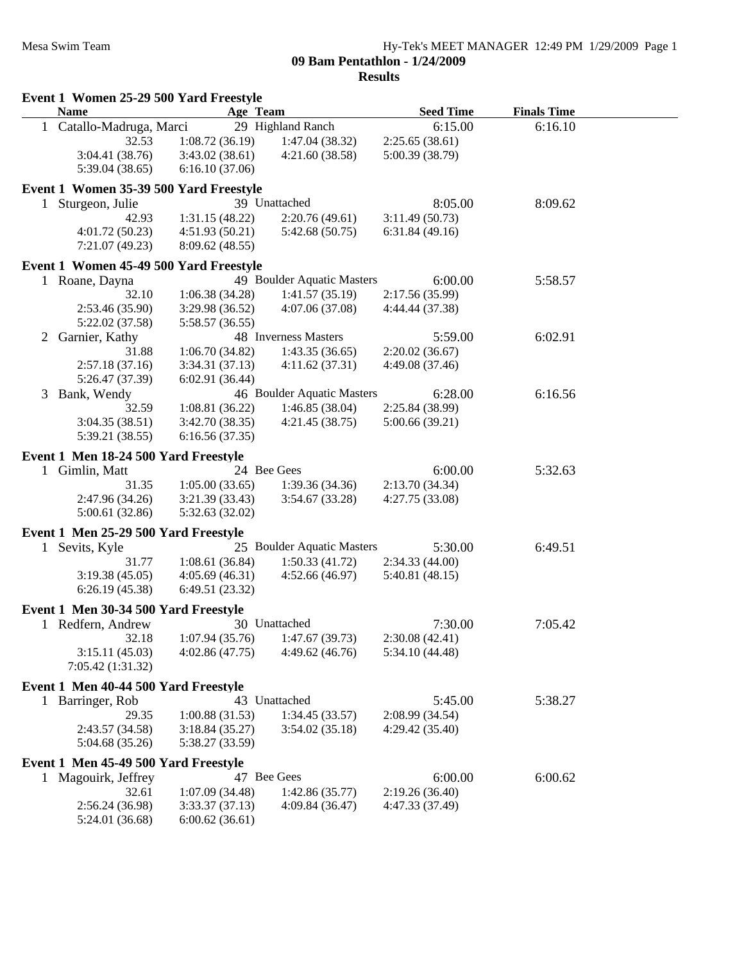|    |                                      | Event 1 Women 25-29 500 Yard Freestyle |                            |                  |                    |  |
|----|--------------------------------------|----------------------------------------|----------------------------|------------------|--------------------|--|
|    | <b>Name</b>                          | Age Team                               |                            | <b>Seed Time</b> | <b>Finals Time</b> |  |
|    | 1 Catallo-Madruga, Marci             |                                        | 29 Highland Ranch          | 6:15.00          | 6:16.10            |  |
|    | 32.53                                | 1:08.72(36.19)                         | 1:47.04(38.32)             | 2:25.65(38.61)   |                    |  |
|    | 3:04.41 (38.76)                      | 3:43.02(38.61)                         | 4:21.60(38.58)             | 5:00.39 (38.79)  |                    |  |
|    | 5:39.04(38.65)                       | 6:16.10(37.06)                         |                            |                  |                    |  |
|    |                                      | Event 1 Women 35-39 500 Yard Freestyle |                            |                  |                    |  |
| 1  | Sturgeon, Julie                      |                                        | 39 Unattached              | 8:05.00          | 8:09.62            |  |
|    | 42.93                                | 1:31.15(48.22)                         | 2:20.76(49.61)             | 3:11.49(50.73)   |                    |  |
|    | 4:01.72(50.23)                       | 4:51.93 (50.21)                        | 5:42.68(50.75)             | 6:31.84(49.16)   |                    |  |
|    | 7:21.07 (49.23)                      | 8:09.62(48.55)                         |                            |                  |                    |  |
|    |                                      | Event 1 Women 45-49 500 Yard Freestyle |                            |                  |                    |  |
|    | 1 Roane, Dayna                       |                                        | 49 Boulder Aquatic Masters | 6:00.00          | 5:58.57            |  |
|    | 32.10                                | 1:06.38(34.28)                         | 1:41.57(35.19)             | 2:17.56 (35.99)  |                    |  |
|    | 2:53.46 (35.90)                      | 3:29.98 (36.52)                        | 4:07.06 (37.08)            | 4:44.44 (37.38)  |                    |  |
|    | 5:22.02 (37.58)                      | 5:58.57 (36.55)                        |                            |                  |                    |  |
| 2  | Garnier, Kathy                       |                                        | 48 Inverness Masters       | 5:59.00          | 6:02.91            |  |
|    | 31.88                                | 1:06.70(34.82)                         | 1:43.35(36.65)             | 2:20.02(36.67)   |                    |  |
|    | 2:57.18(37.16)                       | 3:34.31(37.13)                         | 4:11.62(37.31)             | 4:49.08 (37.46)  |                    |  |
|    | 5:26.47 (37.39)                      | 6:02.91(36.44)                         |                            |                  |                    |  |
| 3  | Bank, Wendy                          |                                        | 46 Boulder Aquatic Masters | 6:28.00          | 6:16.56            |  |
|    | 32.59                                | 1:08.81(36.22)                         | 1:46.85(38.04)             | 2:25.84 (38.99)  |                    |  |
|    | 3:04.35(38.51)                       | 3:42.70(38.35)                         | 4:21.45(38.75)             | 5:00.66(39.21)   |                    |  |
|    | 5:39.21 (38.55)                      | 6:16.56(37.35)                         |                            |                  |                    |  |
|    | Event 1 Men 18-24 500 Yard Freestyle |                                        |                            |                  |                    |  |
|    | 1 Gimlin, Matt                       |                                        | 24 Bee Gees                | 6:00.00          | 5:32.63            |  |
|    | 31.35                                | 1:05.00(33.65)                         | 1:39.36(34.36)             | 2:13.70(34.34)   |                    |  |
|    | 2:47.96 (34.26)                      | 3:21.39(33.43)                         | 3:54.67(33.28)             | 4:27.75(33.08)   |                    |  |
|    | 5:00.61(32.86)                       | 5:32.63 (32.02)                        |                            |                  |                    |  |
|    | Event 1 Men 25-29 500 Yard Freestyle |                                        |                            |                  |                    |  |
| 1. | Sevits, Kyle                         |                                        | 25 Boulder Aquatic Masters | 5:30.00          | 6:49.51            |  |
|    | 31.77                                | 1:08.61(36.84)                         | 1:50.33(41.72)             | 2:34.33(44.00)   |                    |  |
|    | 3:19.38(45.05)                       | 4:05.69(46.31)                         | 4:52.66(46.97)             | 5:40.81 (48.15)  |                    |  |
|    | 6:26.19(45.38)                       | 6:49.51 (23.32)                        |                            |                  |                    |  |
|    | Event 1 Men 30-34 500 Yard Freestyle |                                        |                            |                  |                    |  |
|    | 1 Redfern, Andrew                    |                                        | 30 Unattached              | 7:30.00          | 7:05.42            |  |
|    | 32.18                                | 1:07.94(35.76)                         | 1:47.67(39.73)             | 2:30.08(42.41)   |                    |  |
|    | 3:15.11(45.03)                       | 4:02.86(47.75)                         | 4:49.62(46.76)             | 5:34.10 (44.48)  |                    |  |
|    | 7:05.42 (1:31.32)                    |                                        |                            |                  |                    |  |
|    | Event 1 Men 40-44 500 Yard Freestyle |                                        |                            |                  |                    |  |
|    |                                      |                                        | 43 Unattached              | 5:45.00          |                    |  |
|    | 1 Barringer, Rob<br>29.35            |                                        |                            |                  | 5:38.27            |  |
|    |                                      | 1:00.88(31.53)                         | 1:34.45(33.57)             | 2:08.99 (34.54)  |                    |  |
|    | 2:43.57 (34.58)<br>5:04.68 (35.26)   | 3:18.84(35.27)<br>5:38.27 (33.59)      | 3:54.02(35.18)             | 4:29.42(35.40)   |                    |  |
|    |                                      |                                        |                            |                  |                    |  |
|    | Event 1 Men 45-49 500 Yard Freestyle |                                        |                            |                  |                    |  |
|    | 1 Magouirk, Jeffrey                  |                                        | 47 Bee Gees                | 6:00.00          | 6:00.62            |  |
|    | 32.61                                | 1:07.09(34.48)                         | 1:42.86(35.77)             | 2:19.26(36.40)   |                    |  |
|    | 2:56.24 (36.98)                      | 3:33.37(37.13)                         | 4:09.84(36.47)             | 4:47.33 (37.49)  |                    |  |
|    | 5:24.01 (36.68)                      | 6:00.62(36.61)                         |                            |                  |                    |  |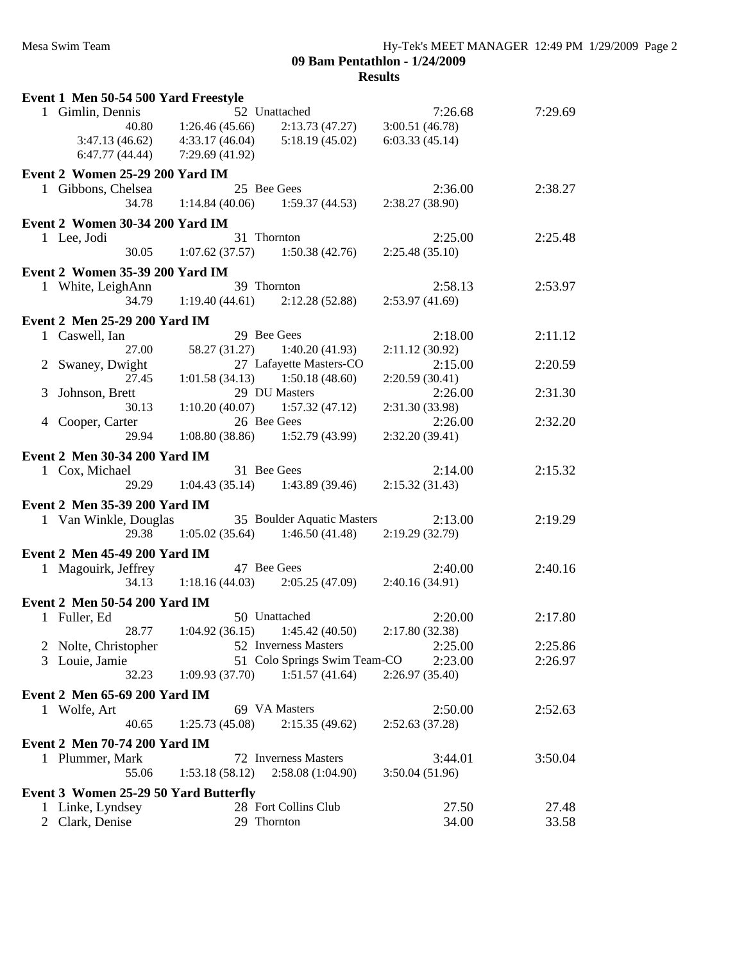| Event 1 Men 50-54 500 Yard Freestyle   |                                   |                              |                 |         |  |
|----------------------------------------|-----------------------------------|------------------------------|-----------------|---------|--|
| 1 Gimlin, Dennis                       |                                   | 52 Unattached                | 7:26.68         | 7:29.69 |  |
| 40.80                                  | 1:26.46(45.66)                    | 2:13.73(47.27)               | 3:00.51(46.78)  |         |  |
| 3:47.13(46.62)                         | 4:33.17(46.04)                    | 5:18.19(45.02)               | 6:03.33(45.14)  |         |  |
| 6:47.77(44.44)                         | 7:29.69(41.92)                    |                              |                 |         |  |
| Event 2 Women 25-29 200 Yard IM        |                                   |                              |                 |         |  |
|                                        | 25 Bee Gees                       |                              |                 |         |  |
| 1 Gibbons, Chelsea                     |                                   |                              | 2:36.00         | 2:38.27 |  |
| 34.78                                  | 1:14.84(40.06)                    | 1:59.37(44.53)               | 2:38.27(38.90)  |         |  |
| Event 2 Women 30-34 200 Yard IM        |                                   |                              |                 |         |  |
| 1 Lee, Jodi                            | 31 Thornton                       |                              | 2:25.00         | 2:25.48 |  |
| 30.05                                  | $1:07.62(37.57)$ $1:50.38(42.76)$ |                              | 2:25.48(35.10)  |         |  |
| <b>Event 2 Women 35-39 200 Yard IM</b> |                                   |                              |                 |         |  |
| 1 White, LeighAnn                      | 39 Thornton                       |                              | 2:58.13         | 2:53.97 |  |
| 34.79                                  | 1:19.40(44.61)                    | 2:12.28(52.88)               | 2:53.97(41.69)  |         |  |
|                                        |                                   |                              |                 |         |  |
| Event 2 Men 25-29 200 Yard IM          |                                   |                              |                 |         |  |
| 1 Caswell, Ian                         | 29 Bee Gees                       |                              | 2:18.00         | 2:11.12 |  |
| 27.00                                  | 58.27 (31.27)                     | 1:40.20(41.93)               | 2:11.12(30.92)  |         |  |
| 2 Swaney, Dwight                       |                                   | 27 Lafayette Masters-CO      | 2:15.00         | 2:20.59 |  |
| 27.45                                  | 1:01.58(34.13)                    | 1:50.18(48.60)               | 2:20.59(30.41)  |         |  |
| Johnson, Brett<br>3                    |                                   | 29 DU Masters                | 2:26.00         | 2:31.30 |  |
| 30.13                                  | 1:10.20(40.07)                    | 1:57.32(47.12)               | 2:31.30 (33.98) |         |  |
| 4 Cooper, Carter                       | 26 Bee Gees                       |                              | 2:26.00         | 2:32.20 |  |
| 29.94                                  | 1:08.80(38.86)                    | 1:52.79(43.99)               | 2:32.20(39.41)  |         |  |
| Event 2 Men 30-34 200 Yard IM          |                                   |                              |                 |         |  |
| 1 Cox, Michael                         | 31 Bee Gees                       |                              | 2:14.00         | 2:15.32 |  |
| 29.29                                  | $1:04.43(35.14)$ $1:43.89(39.46)$ |                              | 2:15.32(31.43)  |         |  |
|                                        |                                   |                              |                 |         |  |
| Event 2 Men 35-39 200 Yard IM          |                                   |                              |                 |         |  |
| 1 Van Winkle, Douglas                  |                                   | 35 Boulder Aquatic Masters   | 2:13.00         | 2:19.29 |  |
| 29.38                                  | $1:05.02(35.64)$ $1:46.50(41.48)$ |                              | 2:19.29(32.79)  |         |  |
| Event 2 Men 45-49 200 Yard IM          |                                   |                              |                 |         |  |
| 1 Magouirk, Jeffrey                    | 47 Bee Gees                       |                              | 2:40.00         | 2:40.16 |  |
| 34.13                                  | 1:18.16(44.03)                    | 2:05.25(47.09)               | 2:40.16(34.91)  |         |  |
| Event 2 Men 50-54 200 Yard IM          |                                   |                              |                 |         |  |
| 1 Fuller, Ed                           |                                   | 50 Unattached                | 2:20.00         | 2:17.80 |  |
| 28.77                                  | 1:04.92(36.15)                    | 1:45.42(40.50)               | 2:17.80 (32.38) |         |  |
| 2 Nolte, Christopher                   |                                   | 52 Inverness Masters         | 2:25.00         | 2:25.86 |  |
| 3 Louie, Jamie                         |                                   | 51 Colo Springs Swim Team-CO | 2:23.00         | 2:26.97 |  |
| 32.23                                  | 1:09.93(37.70)                    | 1:51.57(41.64)               | 2:26.97(35.40)  |         |  |
|                                        |                                   |                              |                 |         |  |
| Event 2 Men 65-69 200 Yard IM          |                                   |                              |                 |         |  |
| 1 Wolfe, Art                           |                                   | 69 VA Masters                | 2:50.00         | 2:52.63 |  |
| 40.65                                  | 1:25.73(45.08)                    | 2:15.35(49.62)               | 2:52.63(37.28)  |         |  |
| <b>Event 2 Men 70-74 200 Yard IM</b>   |                                   |                              |                 |         |  |
| 1 Plummer, Mark                        |                                   | 72 Inverness Masters         | 3:44.01         | 3:50.04 |  |
| 55.06                                  | 1:53.18(58.12)                    | 2:58.08(1:04.90)             | 3:50.04(51.96)  |         |  |
|                                        |                                   |                              |                 |         |  |
| Event 3 Women 25-29 50 Yard Butterfly  |                                   |                              |                 |         |  |
| 1 Linke, Lyndsey                       |                                   | 28 Fort Collins Club         | 27.50           | 27.48   |  |
| 2 Clark, Denise                        | 29 Thornton                       |                              | 34.00           | 33.58   |  |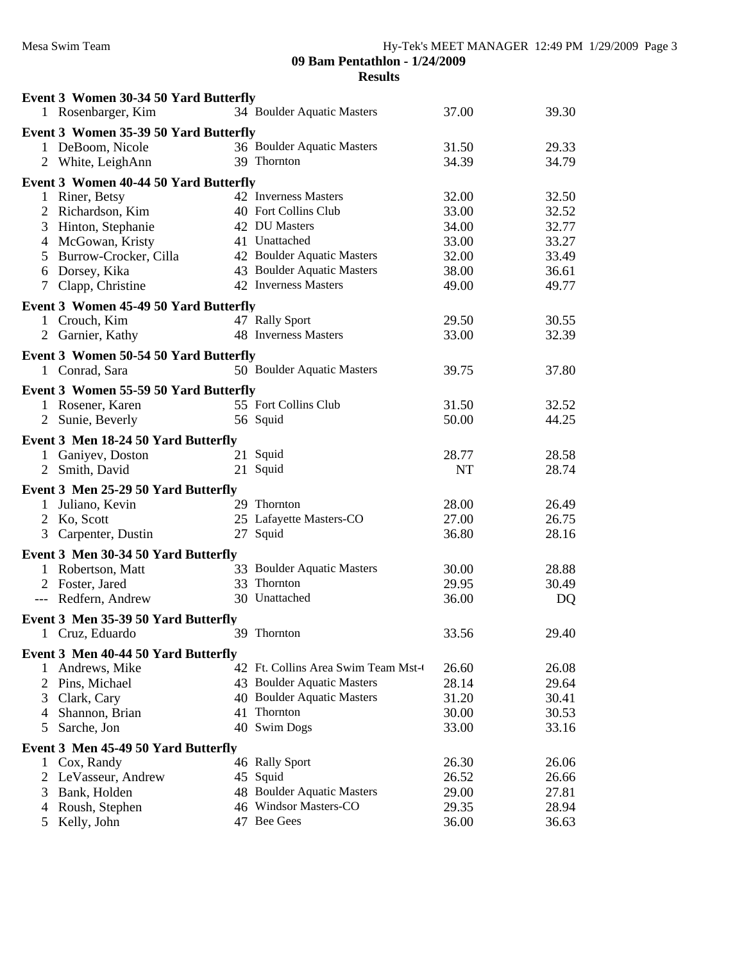|              | Event 3 Women 30-34 50 Yard Butterfly<br>1 Rosenbarger, Kim | 34 Boulder Aquatic Masters         | 37.00 | 39.30 |
|--------------|-------------------------------------------------------------|------------------------------------|-------|-------|
|              |                                                             |                                    |       |       |
|              | Event 3 Women 35-39 50 Yard Butterfly<br>1 DeBoom, Nicole   | 36 Boulder Aquatic Masters         | 31.50 | 29.33 |
|              | 2 White, LeighAnn                                           | 39 Thornton                        | 34.39 | 34.79 |
|              |                                                             |                                    |       |       |
|              | Event 3 Women 40-44 50 Yard Butterfly                       |                                    |       |       |
|              | 1 Riner, Betsy                                              | 42 Inverness Masters               | 32.00 | 32.50 |
| 2            | Richardson, Kim                                             | 40 Fort Collins Club               | 33.00 | 32.52 |
| 3            | Hinton, Stephanie                                           | 42 DU Masters                      | 34.00 | 32.77 |
|              | 4 McGowan, Kristy                                           | 41 Unattached                      | 33.00 | 33.27 |
| 5            | Burrow-Crocker, Cilla                                       | 42 Boulder Aquatic Masters         | 32.00 | 33.49 |
| 6            | Dorsey, Kika                                                | 43 Boulder Aquatic Masters         | 38.00 | 36.61 |
| 7            | Clapp, Christine                                            | 42 Inverness Masters               | 49.00 | 49.77 |
|              | Event 3 Women 45-49 50 Yard Butterfly                       |                                    |       |       |
|              | 1 Crouch, Kim                                               | 47 Rally Sport                     | 29.50 | 30.55 |
|              | 2 Garnier, Kathy                                            | 48 Inverness Masters               | 33.00 | 32.39 |
|              | Event 3 Women 50-54 50 Yard Butterfly                       |                                    |       |       |
|              | 1 Conrad, Sara                                              | 50 Boulder Aquatic Masters         | 39.75 | 37.80 |
|              |                                                             |                                    |       |       |
|              | Event 3 Women 55-59 50 Yard Butterfly<br>1 Rosener, Karen   | 55 Fort Collins Club               | 31.50 | 32.52 |
|              | 2 Sunie, Beverly                                            | 56 Squid                           | 50.00 | 44.25 |
|              |                                                             |                                    |       |       |
|              | Event 3 Men 18-24 50 Yard Butterfly                         |                                    |       |       |
|              | 1 Ganiyev, Doston                                           | 21 Squid                           | 28.77 | 28.58 |
|              | 2 Smith, David                                              | 21 Squid                           | NT    | 28.74 |
|              | Event 3 Men 25-29 50 Yard Butterfly                         |                                    |       |       |
|              | 1 Juliano, Kevin                                            | 29 Thornton                        | 28.00 | 26.49 |
|              | 2 Ko, Scott                                                 | 25 Lafayette Masters-CO            | 27.00 | 26.75 |
|              | 3 Carpenter, Dustin                                         | 27 Squid                           | 36.80 | 28.16 |
|              | Event 3 Men 30-34 50 Yard Butterfly                         |                                    |       |       |
|              | 1 Robertson, Matt                                           | 33 Boulder Aquatic Masters         | 30.00 | 28.88 |
|              | 2 Foster, Jared                                             | 33 Thornton                        | 29.95 | 30.49 |
|              | --- Redfern, Andrew                                         | 30 Unattached                      | 36.00 | DQ    |
|              | Event 3 Men 35-39 50 Yard Butterfly                         |                                    |       |       |
|              | Cruz, Eduardo                                               | 39 Thornton                        | 33.56 | 29.40 |
| $\perp$      |                                                             |                                    |       |       |
|              | Event 3 Men 40-44 50 Yard Butterfly                         |                                    |       |       |
| 1            | Andrews, Mike                                               | 42 Ft. Collins Area Swim Team Mst- | 26.60 | 26.08 |
| 2            | Pins, Michael                                               | 43 Boulder Aquatic Masters         | 28.14 | 29.64 |
| 3            | Clark, Cary                                                 | 40 Boulder Aquatic Masters         | 31.20 | 30.41 |
| 4            | Shannon, Brian                                              | 41 Thornton                        | 30.00 | 30.53 |
| 5            | Sarche, Jon                                                 | 40 Swim Dogs                       | 33.00 | 33.16 |
|              | Event 3 Men 45-49 50 Yard Butterfly                         |                                    |       |       |
| $\mathbf{1}$ | Cox, Randy                                                  | 46 Rally Sport                     | 26.30 | 26.06 |
| 2            | LeVasseur, Andrew                                           | 45 Squid                           | 26.52 | 26.66 |
| 3            | Bank, Holden                                                | 48 Boulder Aquatic Masters         | 29.00 | 27.81 |
| 4            | Roush, Stephen                                              | 46 Windsor Masters-CO              | 29.35 | 28.94 |
| 5            | Kelly, John                                                 | 47 Bee Gees                        | 36.00 | 36.63 |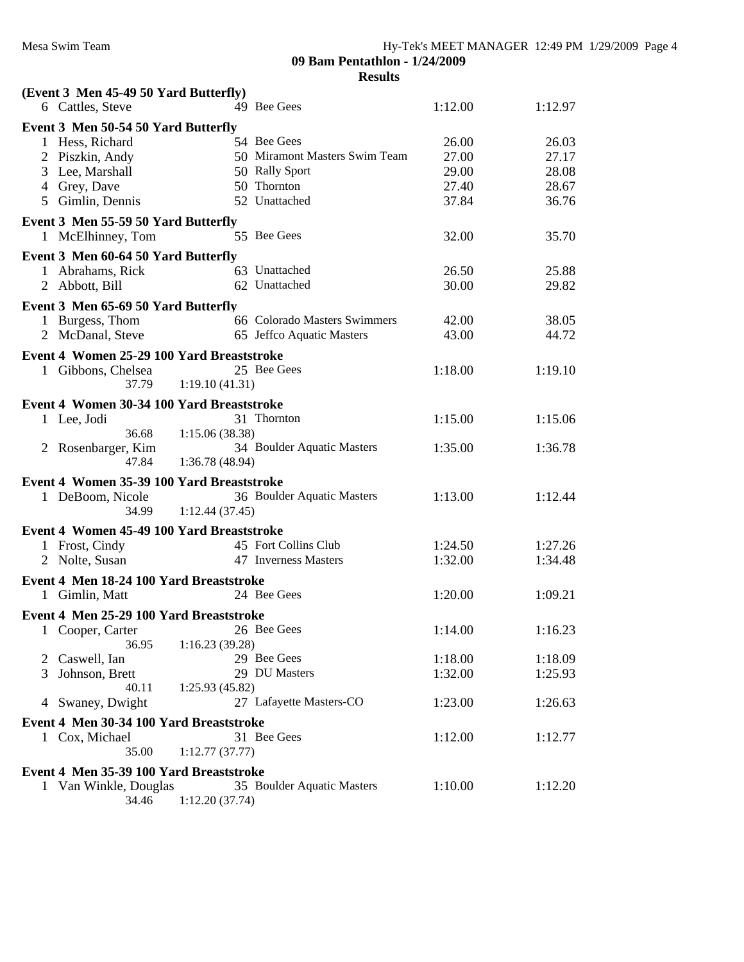| (Event 3 Men 45-49 50 Yard Butterfly)     |                |                               |         |         |  |
|-------------------------------------------|----------------|-------------------------------|---------|---------|--|
| 6 Cattles, Steve                          |                | 49 Bee Gees                   | 1:12.00 | 1:12.97 |  |
| Event 3 Men 50-54 50 Yard Butterfly       |                |                               |         |         |  |
| 1 Hess, Richard                           |                | 54 Bee Gees                   | 26.00   | 26.03   |  |
| 2 Piszkin, Andy                           |                | 50 Miramont Masters Swim Team | 27.00   | 27.17   |  |
| 3 Lee, Marshall                           |                | 50 Rally Sport                | 29.00   | 28.08   |  |
| 4 Grey, Dave                              |                | 50 Thornton                   | 27.40   | 28.67   |  |
| 5 Gimlin, Dennis                          |                | 52 Unattached                 | 37.84   | 36.76   |  |
| Event 3 Men 55-59 50 Yard Butterfly       |                |                               |         |         |  |
| 1 McElhinney, Tom                         |                | 55 Bee Gees                   | 32.00   | 35.70   |  |
| Event 3 Men 60-64 50 Yard Butterfly       |                |                               |         |         |  |
| 1 Abrahams, Rick                          |                | 63 Unattached                 | 26.50   | 25.88   |  |
| 2 Abbott, Bill                            |                | 62 Unattached                 | 30.00   | 29.82   |  |
| Event 3 Men 65-69 50 Yard Butterfly       |                |                               |         |         |  |
| 1 Burgess, Thom                           |                | 66 Colorado Masters Swimmers  | 42.00   | 38.05   |  |
| 2 McDanal, Steve                          |                | 65 Jeffco Aquatic Masters     | 43.00   | 44.72   |  |
|                                           |                |                               |         |         |  |
| Event 4 Women 25-29 100 Yard Breaststroke |                |                               |         |         |  |
| 1 Gibbons, Chelsea<br>37.79               | 1:19.10(41.31) | 25 Bee Gees                   | 1:18.00 | 1:19.10 |  |
|                                           |                |                               |         |         |  |
| Event 4 Women 30-34 100 Yard Breaststroke |                |                               |         |         |  |
| 1 Lee, Jodi                               |                | 31 Thornton                   | 1:15.00 | 1:15.06 |  |
| 36.68                                     | 1:15.06(38.38) |                               |         |         |  |
| 2 Rosenbarger, Kim                        |                | 34 Boulder Aquatic Masters    | 1:35.00 | 1:36.78 |  |
| 47.84                                     | 1:36.78(48.94) |                               |         |         |  |
| Event 4 Women 35-39 100 Yard Breaststroke |                |                               |         |         |  |
| 1 DeBoom, Nicole                          |                | 36 Boulder Aquatic Masters    | 1:13.00 | 1:12.44 |  |
| 34.99                                     | 1:12.44(37.45) |                               |         |         |  |
| Event 4 Women 45-49 100 Yard Breaststroke |                |                               |         |         |  |
| 1 Frost, Cindy                            |                | 45 Fort Collins Club          | 1:24.50 | 1:27.26 |  |
| 2 Nolte, Susan                            |                | 47 Inverness Masters          | 1:32.00 | 1:34.48 |  |
| Event 4 Men 18-24 100 Yard Breaststroke   |                |                               |         |         |  |
| 1 Gimlin, Matt                            |                | 24 Bee Gees                   | 1:20.00 | 1:09.21 |  |
| Event 4 Men 25-29 100 Yard Breaststroke   |                |                               |         |         |  |
| 1<br>Cooper, Carter                       |                | 26 Bee Gees                   | 1:14.00 | 1:16.23 |  |
| 36.95                                     | 1:16.23(39.28) |                               |         |         |  |
| Caswell, Ian<br>2                         |                | 29 Bee Gees                   | 1:18.00 | 1:18.09 |  |
| Johnson, Brett<br>3                       |                | 29 DU Masters                 | 1:32.00 | 1:25.93 |  |
| 40.11                                     | 1:25.93(45.82) |                               |         |         |  |
| 4 Swaney, Dwight                          |                | 27 Lafayette Masters-CO       | 1:23.00 | 1:26.63 |  |
| Event 4 Men 30-34 100 Yard Breaststroke   |                |                               |         |         |  |
| 1 Cox, Michael                            |                | 31 Bee Gees                   | 1:12.00 | 1:12.77 |  |
| 35.00                                     | 1:12.77(37.77) |                               |         |         |  |
| Event 4 Men 35-39 100 Yard Breaststroke   |                |                               |         |         |  |
| 1 Van Winkle, Douglas                     |                | 35 Boulder Aquatic Masters    | 1:10.00 | 1:12.20 |  |
| 34.46                                     | 1:12.20(37.74) |                               |         |         |  |
|                                           |                |                               |         |         |  |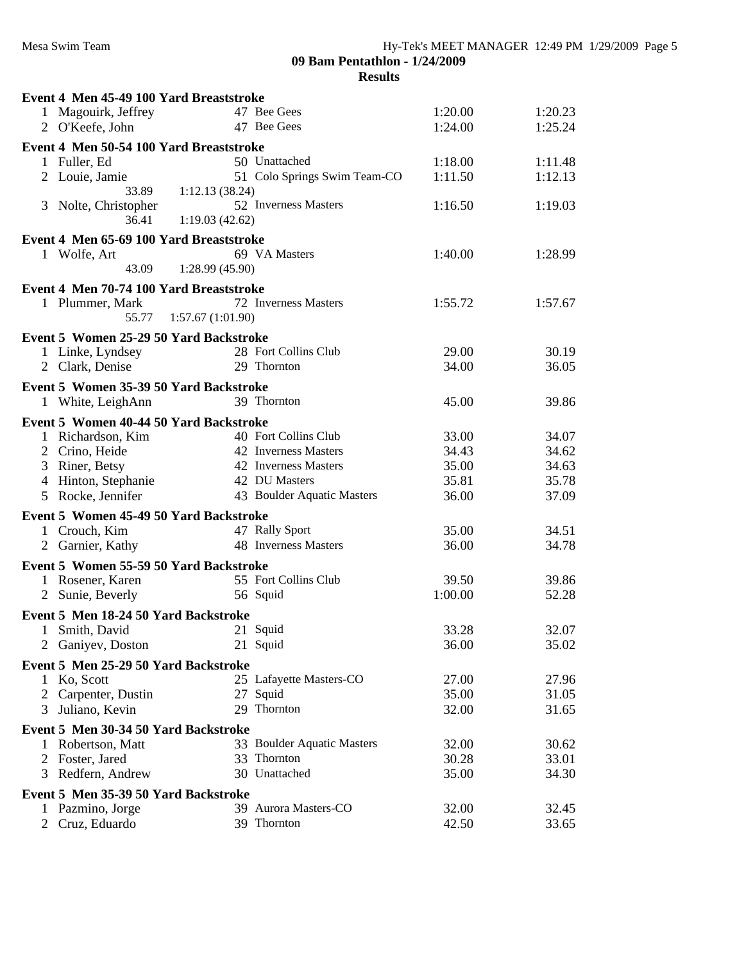|              | Event 4 Men 45-49 100 Yard Breaststroke |                  |                              |         |         |  |
|--------------|-----------------------------------------|------------------|------------------------------|---------|---------|--|
|              | 1 Magouirk, Jeffrey                     |                  | 47 Bee Gees                  | 1:20.00 | 1:20.23 |  |
|              | 2 O'Keefe, John                         |                  | 47 Bee Gees                  | 1:24.00 | 1:25.24 |  |
|              | Event 4 Men 50-54 100 Yard Breaststroke |                  |                              |         |         |  |
|              | 1 Fuller, Ed                            |                  | 50 Unattached                | 1:18.00 | 1:11.48 |  |
|              | 2 Louie, Jamie                          |                  | 51 Colo Springs Swim Team-CO | 1:11.50 | 1:12.13 |  |
|              | 33.89                                   | 1:12.13(38.24)   |                              |         |         |  |
|              | 3 Nolte, Christopher                    |                  | 52 Inverness Masters         | 1:16.50 | 1:19.03 |  |
|              | 36.41                                   | 1:19.03(42.62)   |                              |         |         |  |
|              |                                         |                  |                              |         |         |  |
|              | Event 4 Men 65-69 100 Yard Breaststroke |                  |                              |         |         |  |
|              | 1 Wolfe, Art                            |                  | 69 VA Masters                | 1:40.00 | 1:28.99 |  |
|              | 43.09                                   | 1:28.99(45.90)   |                              |         |         |  |
|              | Event 4 Men 70-74 100 Yard Breaststroke |                  |                              |         |         |  |
|              | 1 Plummer, Mark                         |                  | 72 Inverness Masters         | 1:55.72 | 1:57.67 |  |
|              | 55.77                                   | 1:57.67(1:01.90) |                              |         |         |  |
|              | Event 5 Women 25-29 50 Yard Backstroke  |                  |                              |         |         |  |
|              | 1 Linke, Lyndsey                        |                  | 28 Fort Collins Club         | 29.00   | 30.19   |  |
|              | 2 Clark, Denise                         |                  | 29 Thornton                  | 34.00   | 36.05   |  |
|              |                                         |                  |                              |         |         |  |
|              | Event 5 Women 35-39 50 Yard Backstroke  |                  |                              |         |         |  |
|              | 1 White, LeighAnn                       |                  | 39 Thornton                  | 45.00   | 39.86   |  |
|              | Event 5 Women 40-44 50 Yard Backstroke  |                  |                              |         |         |  |
|              | 1 Richardson, Kim                       |                  | 40 Fort Collins Club         | 33.00   | 34.07   |  |
|              | 2 Crino, Heide                          |                  | 42 Inverness Masters         | 34.43   | 34.62   |  |
|              | 3 Riner, Betsy                          |                  | 42 Inverness Masters         | 35.00   | 34.63   |  |
|              | 4 Hinton, Stephanie                     |                  | 42 DU Masters                | 35.81   | 35.78   |  |
|              | 5 Rocke, Jennifer                       |                  | 43 Boulder Aquatic Masters   | 36.00   | 37.09   |  |
|              |                                         |                  |                              |         |         |  |
|              | Event 5 Women 45-49 50 Yard Backstroke  |                  |                              |         |         |  |
|              | 1 Crouch, Kim                           |                  | 47 Rally Sport               | 35.00   | 34.51   |  |
|              | 2 Garnier, Kathy                        |                  | 48 Inverness Masters         | 36.00   | 34.78   |  |
|              | Event 5 Women 55-59 50 Yard Backstroke  |                  |                              |         |         |  |
|              | 1 Rosener, Karen                        |                  | 55 Fort Collins Club         | 39.50   | 39.86   |  |
| $\mathbf{2}$ | Sunie, Beverly                          |                  | 56 Squid                     | 1:00.00 | 52.28   |  |
|              |                                         |                  |                              |         |         |  |
|              | Event 5 Men 18-24 50 Yard Backstroke    |                  |                              |         |         |  |
| 1            | Smith, David                            |                  | 21 Squid                     | 33.28   | 32.07   |  |
|              | 2 Ganiyev, Doston                       |                  | 21 Squid                     | 36.00   | 35.02   |  |
|              | Event 5 Men 25-29 50 Yard Backstroke    |                  |                              |         |         |  |
| 1            | Ko, Scott                               |                  | 25 Lafayette Masters-CO      | 27.00   | 27.96   |  |
|              | 2 Carpenter, Dustin                     |                  | 27 Squid                     | 35.00   | 31.05   |  |
| 3            | Juliano, Kevin                          |                  | 29 Thornton                  | 32.00   | 31.65   |  |
|              | Event 5 Men 30-34 50 Yard Backstroke    |                  |                              |         |         |  |
| $\mathbf{1}$ |                                         |                  | 33 Boulder Aquatic Masters   | 32.00   | 30.62   |  |
|              | Robertson, Matt                         |                  | 33 Thornton                  | 30.28   | 33.01   |  |
|              | 2 Foster, Jared                         |                  | 30 Unattached                |         |         |  |
|              | 3 Redfern, Andrew                       |                  |                              | 35.00   | 34.30   |  |
|              | Event 5 Men 35-39 50 Yard Backstroke    |                  |                              |         |         |  |
|              | 1 Pazmino, Jorge                        |                  | 39 Aurora Masters-CO         | 32.00   | 32.45   |  |
|              | 2 Cruz, Eduardo                         |                  | 39 Thornton                  | 42.50   | 33.65   |  |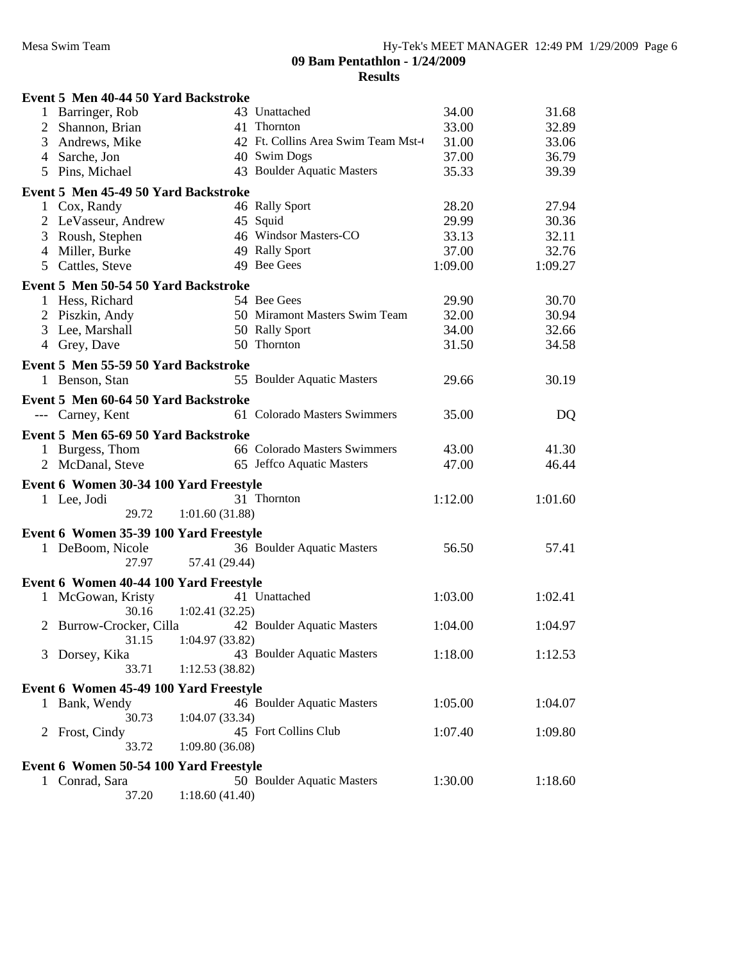|   | Event 5 Men 40-44 50 Yard Backstroke   |                |                                    |         |         |  |
|---|----------------------------------------|----------------|------------------------------------|---------|---------|--|
|   | Barringer, Rob                         |                | 43 Unattached                      | 34.00   | 31.68   |  |
| 2 | Shannon, Brian                         |                | 41 Thornton                        | 33.00   | 32.89   |  |
| 3 | Andrews, Mike                          |                | 42 Ft. Collins Area Swim Team Mst- | 31.00   | 33.06   |  |
| 4 | Sarche, Jon                            |                | 40 Swim Dogs                       | 37.00   | 36.79   |  |
| 5 | Pins, Michael                          |                | 43 Boulder Aquatic Masters         | 35.33   | 39.39   |  |
|   | Event 5 Men 45-49 50 Yard Backstroke   |                |                                    |         |         |  |
|   | 1 Cox, Randy                           |                | 46 Rally Sport                     | 28.20   | 27.94   |  |
|   | 2 LeVasseur, Andrew                    |                | 45 Squid                           | 29.99   | 30.36   |  |
| 3 | Roush, Stephen                         |                | 46 Windsor Masters-CO              | 33.13   | 32.11   |  |
| 4 | Miller, Burke                          |                | 49 Rally Sport                     | 37.00   | 32.76   |  |
| 5 | Cattles, Steve                         |                | 49 Bee Gees                        | 1:09.00 | 1:09.27 |  |
|   |                                        |                |                                    |         |         |  |
|   | Event 5 Men 50-54 50 Yard Backstroke   |                | 54 Bee Gees                        |         |         |  |
|   | 1 Hess, Richard                        |                |                                    | 29.90   | 30.70   |  |
|   | 2 Piszkin, Andy                        |                | 50 Miramont Masters Swim Team      | 32.00   | 30.94   |  |
| 3 | Lee, Marshall                          |                | 50 Rally Sport                     | 34.00   | 32.66   |  |
|   | 4 Grey, Dave                           |                | 50 Thornton                        | 31.50   | 34.58   |  |
|   | Event 5 Men 55-59 50 Yard Backstroke   |                |                                    |         |         |  |
|   | 1 Benson, Stan                         |                | 55 Boulder Aquatic Masters         | 29.66   | 30.19   |  |
|   | Event 5 Men 60-64 50 Yard Backstroke   |                |                                    |         |         |  |
|   | --- Carney, Kent                       |                | 61 Colorado Masters Swimmers       | 35.00   | DQ      |  |
|   | Event 5 Men 65-69 50 Yard Backstroke   |                |                                    |         |         |  |
|   | 1 Burgess, Thom                        |                | 66 Colorado Masters Swimmers       | 43.00   | 41.30   |  |
|   | 2 McDanal, Steve                       |                | 65 Jeffco Aquatic Masters          | 47.00   | 46.44   |  |
|   |                                        |                |                                    |         |         |  |
|   | Event 6 Women 30-34 100 Yard Freestyle |                |                                    |         |         |  |
|   | 1 Lee, Jodi                            |                | 31 Thornton                        | 1:12.00 | 1:01.60 |  |
|   | 29.72                                  | 1:01.60(31.88) |                                    |         |         |  |
|   | Event 6 Women 35-39 100 Yard Freestyle |                |                                    |         |         |  |
|   | 1 DeBoom, Nicole                       |                | 36 Boulder Aquatic Masters         | 56.50   | 57.41   |  |
|   | 27.97                                  | 57.41 (29.44)  |                                    |         |         |  |
|   | Event 6 Women 40-44 100 Yard Freestyle |                |                                    |         |         |  |
|   | 1 McGowan, Kristy                      |                | 41 Unattached                      | 1:03.00 | 1:02.41 |  |
|   | 30.16                                  | 1:02.41(32.25) |                                    |         |         |  |
|   | 2 Burrow-Crocker, Cilla                |                | 42 Boulder Aquatic Masters         | 1:04.00 | 1:04.97 |  |
|   | 31.15                                  | 1:04.97(33.82) |                                    |         |         |  |
| 3 | Dorsey, Kika                           |                | 43 Boulder Aquatic Masters         | 1:18.00 | 1:12.53 |  |
|   | 33.71                                  | 1:12.53(38.82) |                                    |         |         |  |
|   | Event 6 Women 45-49 100 Yard Freestyle |                |                                    |         |         |  |
|   | 1 Bank, Wendy                          |                | 46 Boulder Aquatic Masters         | 1:05.00 | 1:04.07 |  |
|   | 30.73                                  | 1:04.07(33.34) |                                    |         |         |  |
|   | 2 Frost, Cindy                         |                | 45 Fort Collins Club               | 1:07.40 | 1:09.80 |  |
|   | 33.72                                  | 1:09.80(36.08) |                                    |         |         |  |
|   | Event 6 Women 50-54 100 Yard Freestyle |                |                                    |         |         |  |
|   | 1 Conrad, Sara                         |                | 50 Boulder Aquatic Masters         | 1:30.00 | 1:18.60 |  |
|   | 37.20                                  | 1:18.60(41.40) |                                    |         |         |  |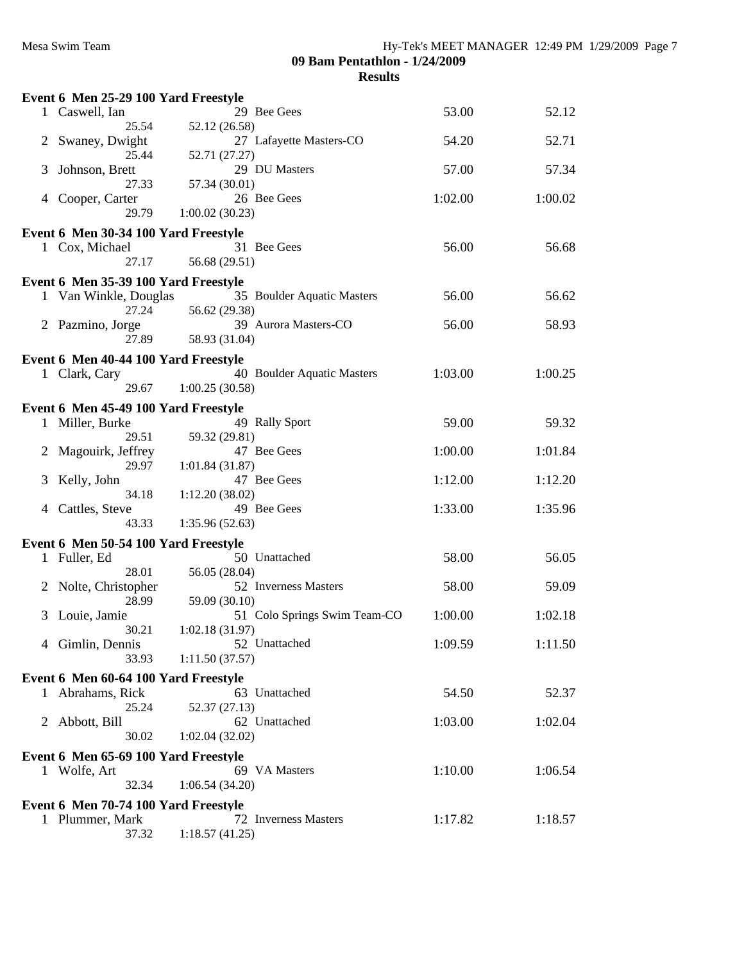| 29 Bee Gees<br>53.00<br>1 Caswell, Ian<br>52.12<br>25.54<br>52.12 (26.58)<br>27 Lafayette Masters-CO<br>52.71<br>Swaney, Dwight<br>54.20<br>$\mathbf{2}$<br>25.44<br>52.71 (27.27)<br>29 DU Masters<br>57.00<br>Johnson, Brett<br>57.34<br>3<br>27.33<br>57.34 (30.01)<br>26 Bee Gees<br>1:02.00<br>Cooper, Carter<br>1:00.02<br>4<br>29.79<br>1:00.02(30.23)<br>Event 6 Men 30-34 100 Yard Freestyle<br>56.00<br>1 Cox, Michael<br>31 Bee Gees<br>56.68<br>56.68 (29.51)<br>27.17<br>Event 6 Men 35-39 100 Yard Freestyle<br>35 Boulder Aquatic Masters<br>56.00<br>1 Van Winkle, Douglas<br>56.62<br>27.24<br>56.62 (29.38)<br>39 Aurora Masters-CO<br>2 Pazmino, Jorge<br>56.00<br>58.93<br>58.93 (31.04)<br>27.89<br>Event 6 Men 40-44 100 Yard Freestyle<br>40 Boulder Aquatic Masters<br>1:03.00<br>1 Clark, Cary<br>1:00.25<br>1:00.25(30.58)<br>29.67<br>Event 6 Men 45-49 100 Yard Freestyle<br>49 Rally Sport<br>59.00<br>1 Miller, Burke<br>59.32<br>29.51<br>59.32 (29.81)<br>Magouirk, Jeffrey<br>47 Bee Gees<br>1:00.00<br>1:01.84<br>$\mathbf{2}^-$<br>29.97<br>1:01.84(31.87)<br>47 Bee Gees<br>1:12.00<br>1:12.20<br>Kelly, John<br>3<br>34.18<br>1:12.20(38.02)<br>49 Bee Gees<br>1:33.00<br>Cattles, Steve<br>1:35.96<br>4<br>43.33<br>1:35.96(52.63)<br>Event 6 Men 50-54 100 Yard Freestyle<br>50 Unattached<br>58.00<br>1 Fuller, Ed<br>56.05<br>28.01<br>56.05 (28.04)<br>52 Inverness Masters<br>58.00<br>2 Nolte, Christopher<br>59.09<br>28.99<br>59.09 (30.10)<br>51 Colo Springs Swim Team-CO<br>Louie, Jamie<br>1:00.00<br>1:02.18<br>3<br>30.21<br>1:02.18(31.97)<br>52 Unattached<br>1:09.59<br>1:11.50<br>4 Gimlin, Dennis<br>33.93<br>1:11.50(37.57)<br>Event 6 Men 60-64 100 Yard Freestyle<br>63 Unattached<br>54.50<br>52.37<br>1 Abrahams, Rick<br>25.24<br>52.37 (27.13)<br>62 Unattached<br>1:03.00<br>2 Abbott, Bill<br>1:02.04<br>30.02<br>1:02.04(32.02)<br>Event 6 Men 65-69 100 Yard Freestyle<br>69 VA Masters<br>1 Wolfe, Art<br>1:10.00<br>1:06.54<br>32.34<br>1:06.54(34.20)<br>Event 6 Men 70-74 100 Yard Freestyle<br>1 Plummer, Mark<br>72 Inverness Masters<br>1:17.82<br>1:18.57 | Event 6 Men 25-29 100 Yard Freestyle |                |  |  |
|---------------------------------------------------------------------------------------------------------------------------------------------------------------------------------------------------------------------------------------------------------------------------------------------------------------------------------------------------------------------------------------------------------------------------------------------------------------------------------------------------------------------------------------------------------------------------------------------------------------------------------------------------------------------------------------------------------------------------------------------------------------------------------------------------------------------------------------------------------------------------------------------------------------------------------------------------------------------------------------------------------------------------------------------------------------------------------------------------------------------------------------------------------------------------------------------------------------------------------------------------------------------------------------------------------------------------------------------------------------------------------------------------------------------------------------------------------------------------------------------------------------------------------------------------------------------------------------------------------------------------------------------------------------------------------------------------------------------------------------------------------------------------------------------------------------------------------------------------------------------------------------------------------------------------------------------------------------------------------------------------------------------------------------------------------------------------------------------------------------------------------------|--------------------------------------|----------------|--|--|
|                                                                                                                                                                                                                                                                                                                                                                                                                                                                                                                                                                                                                                                                                                                                                                                                                                                                                                                                                                                                                                                                                                                                                                                                                                                                                                                                                                                                                                                                                                                                                                                                                                                                                                                                                                                                                                                                                                                                                                                                                                                                                                                                       |                                      |                |  |  |
|                                                                                                                                                                                                                                                                                                                                                                                                                                                                                                                                                                                                                                                                                                                                                                                                                                                                                                                                                                                                                                                                                                                                                                                                                                                                                                                                                                                                                                                                                                                                                                                                                                                                                                                                                                                                                                                                                                                                                                                                                                                                                                                                       |                                      |                |  |  |
|                                                                                                                                                                                                                                                                                                                                                                                                                                                                                                                                                                                                                                                                                                                                                                                                                                                                                                                                                                                                                                                                                                                                                                                                                                                                                                                                                                                                                                                                                                                                                                                                                                                                                                                                                                                                                                                                                                                                                                                                                                                                                                                                       |                                      |                |  |  |
|                                                                                                                                                                                                                                                                                                                                                                                                                                                                                                                                                                                                                                                                                                                                                                                                                                                                                                                                                                                                                                                                                                                                                                                                                                                                                                                                                                                                                                                                                                                                                                                                                                                                                                                                                                                                                                                                                                                                                                                                                                                                                                                                       |                                      |                |  |  |
|                                                                                                                                                                                                                                                                                                                                                                                                                                                                                                                                                                                                                                                                                                                                                                                                                                                                                                                                                                                                                                                                                                                                                                                                                                                                                                                                                                                                                                                                                                                                                                                                                                                                                                                                                                                                                                                                                                                                                                                                                                                                                                                                       |                                      |                |  |  |
|                                                                                                                                                                                                                                                                                                                                                                                                                                                                                                                                                                                                                                                                                                                                                                                                                                                                                                                                                                                                                                                                                                                                                                                                                                                                                                                                                                                                                                                                                                                                                                                                                                                                                                                                                                                                                                                                                                                                                                                                                                                                                                                                       |                                      |                |  |  |
|                                                                                                                                                                                                                                                                                                                                                                                                                                                                                                                                                                                                                                                                                                                                                                                                                                                                                                                                                                                                                                                                                                                                                                                                                                                                                                                                                                                                                                                                                                                                                                                                                                                                                                                                                                                                                                                                                                                                                                                                                                                                                                                                       |                                      |                |  |  |
|                                                                                                                                                                                                                                                                                                                                                                                                                                                                                                                                                                                                                                                                                                                                                                                                                                                                                                                                                                                                                                                                                                                                                                                                                                                                                                                                                                                                                                                                                                                                                                                                                                                                                                                                                                                                                                                                                                                                                                                                                                                                                                                                       |                                      |                |  |  |
|                                                                                                                                                                                                                                                                                                                                                                                                                                                                                                                                                                                                                                                                                                                                                                                                                                                                                                                                                                                                                                                                                                                                                                                                                                                                                                                                                                                                                                                                                                                                                                                                                                                                                                                                                                                                                                                                                                                                                                                                                                                                                                                                       |                                      |                |  |  |
|                                                                                                                                                                                                                                                                                                                                                                                                                                                                                                                                                                                                                                                                                                                                                                                                                                                                                                                                                                                                                                                                                                                                                                                                                                                                                                                                                                                                                                                                                                                                                                                                                                                                                                                                                                                                                                                                                                                                                                                                                                                                                                                                       |                                      |                |  |  |
|                                                                                                                                                                                                                                                                                                                                                                                                                                                                                                                                                                                                                                                                                                                                                                                                                                                                                                                                                                                                                                                                                                                                                                                                                                                                                                                                                                                                                                                                                                                                                                                                                                                                                                                                                                                                                                                                                                                                                                                                                                                                                                                                       |                                      |                |  |  |
|                                                                                                                                                                                                                                                                                                                                                                                                                                                                                                                                                                                                                                                                                                                                                                                                                                                                                                                                                                                                                                                                                                                                                                                                                                                                                                                                                                                                                                                                                                                                                                                                                                                                                                                                                                                                                                                                                                                                                                                                                                                                                                                                       |                                      |                |  |  |
|                                                                                                                                                                                                                                                                                                                                                                                                                                                                                                                                                                                                                                                                                                                                                                                                                                                                                                                                                                                                                                                                                                                                                                                                                                                                                                                                                                                                                                                                                                                                                                                                                                                                                                                                                                                                                                                                                                                                                                                                                                                                                                                                       |                                      |                |  |  |
|                                                                                                                                                                                                                                                                                                                                                                                                                                                                                                                                                                                                                                                                                                                                                                                                                                                                                                                                                                                                                                                                                                                                                                                                                                                                                                                                                                                                                                                                                                                                                                                                                                                                                                                                                                                                                                                                                                                                                                                                                                                                                                                                       |                                      |                |  |  |
|                                                                                                                                                                                                                                                                                                                                                                                                                                                                                                                                                                                                                                                                                                                                                                                                                                                                                                                                                                                                                                                                                                                                                                                                                                                                                                                                                                                                                                                                                                                                                                                                                                                                                                                                                                                                                                                                                                                                                                                                                                                                                                                                       |                                      |                |  |  |
|                                                                                                                                                                                                                                                                                                                                                                                                                                                                                                                                                                                                                                                                                                                                                                                                                                                                                                                                                                                                                                                                                                                                                                                                                                                                                                                                                                                                                                                                                                                                                                                                                                                                                                                                                                                                                                                                                                                                                                                                                                                                                                                                       |                                      |                |  |  |
|                                                                                                                                                                                                                                                                                                                                                                                                                                                                                                                                                                                                                                                                                                                                                                                                                                                                                                                                                                                                                                                                                                                                                                                                                                                                                                                                                                                                                                                                                                                                                                                                                                                                                                                                                                                                                                                                                                                                                                                                                                                                                                                                       |                                      |                |  |  |
|                                                                                                                                                                                                                                                                                                                                                                                                                                                                                                                                                                                                                                                                                                                                                                                                                                                                                                                                                                                                                                                                                                                                                                                                                                                                                                                                                                                                                                                                                                                                                                                                                                                                                                                                                                                                                                                                                                                                                                                                                                                                                                                                       |                                      |                |  |  |
|                                                                                                                                                                                                                                                                                                                                                                                                                                                                                                                                                                                                                                                                                                                                                                                                                                                                                                                                                                                                                                                                                                                                                                                                                                                                                                                                                                                                                                                                                                                                                                                                                                                                                                                                                                                                                                                                                                                                                                                                                                                                                                                                       |                                      |                |  |  |
|                                                                                                                                                                                                                                                                                                                                                                                                                                                                                                                                                                                                                                                                                                                                                                                                                                                                                                                                                                                                                                                                                                                                                                                                                                                                                                                                                                                                                                                                                                                                                                                                                                                                                                                                                                                                                                                                                                                                                                                                                                                                                                                                       |                                      |                |  |  |
|                                                                                                                                                                                                                                                                                                                                                                                                                                                                                                                                                                                                                                                                                                                                                                                                                                                                                                                                                                                                                                                                                                                                                                                                                                                                                                                                                                                                                                                                                                                                                                                                                                                                                                                                                                                                                                                                                                                                                                                                                                                                                                                                       |                                      |                |  |  |
|                                                                                                                                                                                                                                                                                                                                                                                                                                                                                                                                                                                                                                                                                                                                                                                                                                                                                                                                                                                                                                                                                                                                                                                                                                                                                                                                                                                                                                                                                                                                                                                                                                                                                                                                                                                                                                                                                                                                                                                                                                                                                                                                       |                                      |                |  |  |
|                                                                                                                                                                                                                                                                                                                                                                                                                                                                                                                                                                                                                                                                                                                                                                                                                                                                                                                                                                                                                                                                                                                                                                                                                                                                                                                                                                                                                                                                                                                                                                                                                                                                                                                                                                                                                                                                                                                                                                                                                                                                                                                                       |                                      |                |  |  |
|                                                                                                                                                                                                                                                                                                                                                                                                                                                                                                                                                                                                                                                                                                                                                                                                                                                                                                                                                                                                                                                                                                                                                                                                                                                                                                                                                                                                                                                                                                                                                                                                                                                                                                                                                                                                                                                                                                                                                                                                                                                                                                                                       |                                      |                |  |  |
|                                                                                                                                                                                                                                                                                                                                                                                                                                                                                                                                                                                                                                                                                                                                                                                                                                                                                                                                                                                                                                                                                                                                                                                                                                                                                                                                                                                                                                                                                                                                                                                                                                                                                                                                                                                                                                                                                                                                                                                                                                                                                                                                       |                                      |                |  |  |
|                                                                                                                                                                                                                                                                                                                                                                                                                                                                                                                                                                                                                                                                                                                                                                                                                                                                                                                                                                                                                                                                                                                                                                                                                                                                                                                                                                                                                                                                                                                                                                                                                                                                                                                                                                                                                                                                                                                                                                                                                                                                                                                                       |                                      |                |  |  |
|                                                                                                                                                                                                                                                                                                                                                                                                                                                                                                                                                                                                                                                                                                                                                                                                                                                                                                                                                                                                                                                                                                                                                                                                                                                                                                                                                                                                                                                                                                                                                                                                                                                                                                                                                                                                                                                                                                                                                                                                                                                                                                                                       |                                      |                |  |  |
|                                                                                                                                                                                                                                                                                                                                                                                                                                                                                                                                                                                                                                                                                                                                                                                                                                                                                                                                                                                                                                                                                                                                                                                                                                                                                                                                                                                                                                                                                                                                                                                                                                                                                                                                                                                                                                                                                                                                                                                                                                                                                                                                       |                                      |                |  |  |
|                                                                                                                                                                                                                                                                                                                                                                                                                                                                                                                                                                                                                                                                                                                                                                                                                                                                                                                                                                                                                                                                                                                                                                                                                                                                                                                                                                                                                                                                                                                                                                                                                                                                                                                                                                                                                                                                                                                                                                                                                                                                                                                                       |                                      |                |  |  |
|                                                                                                                                                                                                                                                                                                                                                                                                                                                                                                                                                                                                                                                                                                                                                                                                                                                                                                                                                                                                                                                                                                                                                                                                                                                                                                                                                                                                                                                                                                                                                                                                                                                                                                                                                                                                                                                                                                                                                                                                                                                                                                                                       |                                      |                |  |  |
|                                                                                                                                                                                                                                                                                                                                                                                                                                                                                                                                                                                                                                                                                                                                                                                                                                                                                                                                                                                                                                                                                                                                                                                                                                                                                                                                                                                                                                                                                                                                                                                                                                                                                                                                                                                                                                                                                                                                                                                                                                                                                                                                       |                                      |                |  |  |
|                                                                                                                                                                                                                                                                                                                                                                                                                                                                                                                                                                                                                                                                                                                                                                                                                                                                                                                                                                                                                                                                                                                                                                                                                                                                                                                                                                                                                                                                                                                                                                                                                                                                                                                                                                                                                                                                                                                                                                                                                                                                                                                                       |                                      |                |  |  |
|                                                                                                                                                                                                                                                                                                                                                                                                                                                                                                                                                                                                                                                                                                                                                                                                                                                                                                                                                                                                                                                                                                                                                                                                                                                                                                                                                                                                                                                                                                                                                                                                                                                                                                                                                                                                                                                                                                                                                                                                                                                                                                                                       |                                      |                |  |  |
|                                                                                                                                                                                                                                                                                                                                                                                                                                                                                                                                                                                                                                                                                                                                                                                                                                                                                                                                                                                                                                                                                                                                                                                                                                                                                                                                                                                                                                                                                                                                                                                                                                                                                                                                                                                                                                                                                                                                                                                                                                                                                                                                       |                                      |                |  |  |
|                                                                                                                                                                                                                                                                                                                                                                                                                                                                                                                                                                                                                                                                                                                                                                                                                                                                                                                                                                                                                                                                                                                                                                                                                                                                                                                                                                                                                                                                                                                                                                                                                                                                                                                                                                                                                                                                                                                                                                                                                                                                                                                                       |                                      |                |  |  |
|                                                                                                                                                                                                                                                                                                                                                                                                                                                                                                                                                                                                                                                                                                                                                                                                                                                                                                                                                                                                                                                                                                                                                                                                                                                                                                                                                                                                                                                                                                                                                                                                                                                                                                                                                                                                                                                                                                                                                                                                                                                                                                                                       |                                      |                |  |  |
|                                                                                                                                                                                                                                                                                                                                                                                                                                                                                                                                                                                                                                                                                                                                                                                                                                                                                                                                                                                                                                                                                                                                                                                                                                                                                                                                                                                                                                                                                                                                                                                                                                                                                                                                                                                                                                                                                                                                                                                                                                                                                                                                       |                                      |                |  |  |
|                                                                                                                                                                                                                                                                                                                                                                                                                                                                                                                                                                                                                                                                                                                                                                                                                                                                                                                                                                                                                                                                                                                                                                                                                                                                                                                                                                                                                                                                                                                                                                                                                                                                                                                                                                                                                                                                                                                                                                                                                                                                                                                                       |                                      |                |  |  |
|                                                                                                                                                                                                                                                                                                                                                                                                                                                                                                                                                                                                                                                                                                                                                                                                                                                                                                                                                                                                                                                                                                                                                                                                                                                                                                                                                                                                                                                                                                                                                                                                                                                                                                                                                                                                                                                                                                                                                                                                                                                                                                                                       |                                      |                |  |  |
|                                                                                                                                                                                                                                                                                                                                                                                                                                                                                                                                                                                                                                                                                                                                                                                                                                                                                                                                                                                                                                                                                                                                                                                                                                                                                                                                                                                                                                                                                                                                                                                                                                                                                                                                                                                                                                                                                                                                                                                                                                                                                                                                       |                                      |                |  |  |
|                                                                                                                                                                                                                                                                                                                                                                                                                                                                                                                                                                                                                                                                                                                                                                                                                                                                                                                                                                                                                                                                                                                                                                                                                                                                                                                                                                                                                                                                                                                                                                                                                                                                                                                                                                                                                                                                                                                                                                                                                                                                                                                                       |                                      |                |  |  |
|                                                                                                                                                                                                                                                                                                                                                                                                                                                                                                                                                                                                                                                                                                                                                                                                                                                                                                                                                                                                                                                                                                                                                                                                                                                                                                                                                                                                                                                                                                                                                                                                                                                                                                                                                                                                                                                                                                                                                                                                                                                                                                                                       |                                      |                |  |  |
|                                                                                                                                                                                                                                                                                                                                                                                                                                                                                                                                                                                                                                                                                                                                                                                                                                                                                                                                                                                                                                                                                                                                                                                                                                                                                                                                                                                                                                                                                                                                                                                                                                                                                                                                                                                                                                                                                                                                                                                                                                                                                                                                       |                                      |                |  |  |
|                                                                                                                                                                                                                                                                                                                                                                                                                                                                                                                                                                                                                                                                                                                                                                                                                                                                                                                                                                                                                                                                                                                                                                                                                                                                                                                                                                                                                                                                                                                                                                                                                                                                                                                                                                                                                                                                                                                                                                                                                                                                                                                                       |                                      |                |  |  |
|                                                                                                                                                                                                                                                                                                                                                                                                                                                                                                                                                                                                                                                                                                                                                                                                                                                                                                                                                                                                                                                                                                                                                                                                                                                                                                                                                                                                                                                                                                                                                                                                                                                                                                                                                                                                                                                                                                                                                                                                                                                                                                                                       |                                      |                |  |  |
|                                                                                                                                                                                                                                                                                                                                                                                                                                                                                                                                                                                                                                                                                                                                                                                                                                                                                                                                                                                                                                                                                                                                                                                                                                                                                                                                                                                                                                                                                                                                                                                                                                                                                                                                                                                                                                                                                                                                                                                                                                                                                                                                       |                                      |                |  |  |
|                                                                                                                                                                                                                                                                                                                                                                                                                                                                                                                                                                                                                                                                                                                                                                                                                                                                                                                                                                                                                                                                                                                                                                                                                                                                                                                                                                                                                                                                                                                                                                                                                                                                                                                                                                                                                                                                                                                                                                                                                                                                                                                                       |                                      |                |  |  |
|                                                                                                                                                                                                                                                                                                                                                                                                                                                                                                                                                                                                                                                                                                                                                                                                                                                                                                                                                                                                                                                                                                                                                                                                                                                                                                                                                                                                                                                                                                                                                                                                                                                                                                                                                                                                                                                                                                                                                                                                                                                                                                                                       |                                      |                |  |  |
|                                                                                                                                                                                                                                                                                                                                                                                                                                                                                                                                                                                                                                                                                                                                                                                                                                                                                                                                                                                                                                                                                                                                                                                                                                                                                                                                                                                                                                                                                                                                                                                                                                                                                                                                                                                                                                                                                                                                                                                                                                                                                                                                       | 37.32                                | 1:18.57(41.25) |  |  |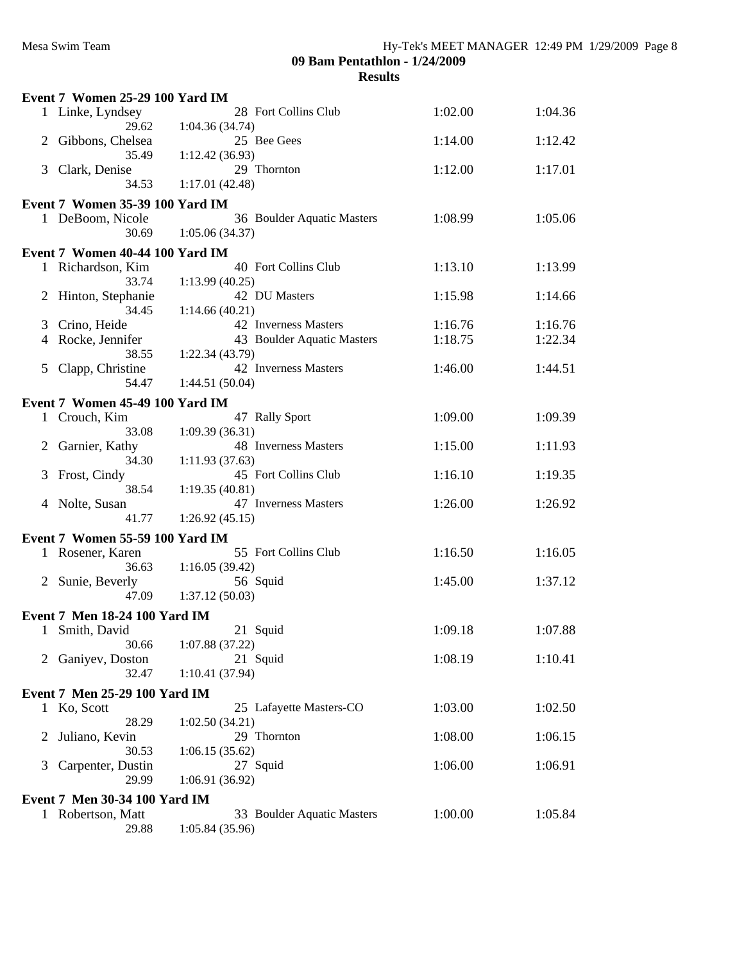|                           | Event 7 Women 25-29 100 Yard IM        |                                              |         |         |  |
|---------------------------|----------------------------------------|----------------------------------------------|---------|---------|--|
|                           | 1 Linke, Lyndsey<br>29.62              | 28 Fort Collins Club<br>1:04.36(34.74)       | 1:02.00 | 1:04.36 |  |
|                           | Gibbons, Chelsea<br>35.49              | 25 Bee Gees<br>1:12.42(36.93)                | 1:14.00 | 1:12.42 |  |
| 3                         | Clark, Denise<br>34.53                 | 29 Thornton<br>1:17.01(42.48)                | 1:12.00 | 1:17.01 |  |
|                           |                                        |                                              |         |         |  |
|                           | <b>Event 7 Women 35-39 100 Yard IM</b> |                                              |         |         |  |
|                           | 1 DeBoom, Nicole<br>30.69              | 36 Boulder Aquatic Masters<br>1:05.06(34.37) | 1:08.99 | 1:05.06 |  |
|                           | Event 7 Women 40-44 100 Yard IM        |                                              |         |         |  |
|                           | 1 Richardson, Kim<br>33.74             | 40 Fort Collins Club<br>1:13.99(40.25)       | 1:13.10 | 1:13.99 |  |
|                           | 2 Hinton, Stephanie                    | 42 DU Masters                                | 1:15.98 | 1:14.66 |  |
|                           | 34.45                                  | 1:14.66(40.21)                               |         |         |  |
| 3                         | Crino, Heide                           | 42 Inverness Masters                         | 1:16.76 | 1:16.76 |  |
|                           | 4 Rocke, Jennifer<br>38.55             | 43 Boulder Aquatic Masters<br>1:22.34(43.79) | 1:18.75 | 1:22.34 |  |
| 5                         | Clapp, Christine                       | 42 Inverness Masters                         | 1:46.00 | 1:44.51 |  |
|                           | 54.47                                  | 1:44.51(50.04)                               |         |         |  |
|                           | Event 7 Women 45-49 100 Yard IM        |                                              |         |         |  |
|                           | 1 Crouch, Kim                          | 47 Rally Sport                               | 1:09.00 | 1:09.39 |  |
|                           | 33.08                                  | 1:09.39(36.31)                               |         |         |  |
| 2                         | Garnier, Kathy<br>34.30                | 48 Inverness Masters                         | 1:15.00 | 1:11.93 |  |
| 3                         | Frost, Cindy                           | 1:11.93(37.63)<br>45 Fort Collins Club       | 1:16.10 | 1:19.35 |  |
|                           | 38.54                                  | 1:19.35(40.81)                               |         |         |  |
|                           | 4 Nolte, Susan                         | 47 Inverness Masters                         | 1:26.00 | 1:26.92 |  |
|                           | 41.77                                  | 1:26.92(45.15)                               |         |         |  |
|                           | Event 7 Women 55-59 100 Yard IM        |                                              |         |         |  |
|                           | 1 Rosener, Karen                       | 55 Fort Collins Club                         | 1:16.50 | 1:16.05 |  |
|                           | 36.63                                  | 1:16.05(39.42)                               |         |         |  |
|                           | 2 Sunie, Beverly                       | 56 Squid                                     | 1:45.00 | 1:37.12 |  |
|                           | 47.09                                  | 1:37.12(50.03)                               |         |         |  |
|                           | Event 7 Men 18-24 100 Yard IM          |                                              |         |         |  |
|                           | 1 Smith, David                         | 21 Squid                                     | 1:09.18 | 1:07.88 |  |
|                           | 30.66                                  | 1:07.88(37.22)                               |         |         |  |
|                           | Ganiyev, Doston                        | 21 Squid                                     | 1:08.19 | 1:10.41 |  |
|                           | 32.47                                  | 1:10.41(37.94)                               |         |         |  |
|                           | Event 7 Men 25-29 100 Yard IM          |                                              |         |         |  |
|                           | 1 Ko, Scott                            | 25 Lafayette Masters-CO                      | 1:03.00 | 1:02.50 |  |
|                           | 28.29                                  | 1:02.50(34.21)                               |         |         |  |
| $\mathbb{Z}^{\mathbb{Z}}$ | Juliano, Kevin                         | 29 Thornton                                  | 1:08.00 | 1:06.15 |  |
|                           | 30.53                                  | 1:06.15(35.62)                               |         |         |  |
| 3                         | Carpenter, Dustin                      | 27 Squid                                     | 1:06.00 | 1:06.91 |  |
|                           | 29.99                                  | 1:06.91(36.92)                               |         |         |  |
|                           | Event 7 Men 30-34 100 Yard IM          |                                              |         |         |  |
|                           | 1 Robertson, Matt                      | 33 Boulder Aquatic Masters                   | 1:00.00 | 1:05.84 |  |
|                           | 29.88                                  | 1:05.84 (35.96)                              |         |         |  |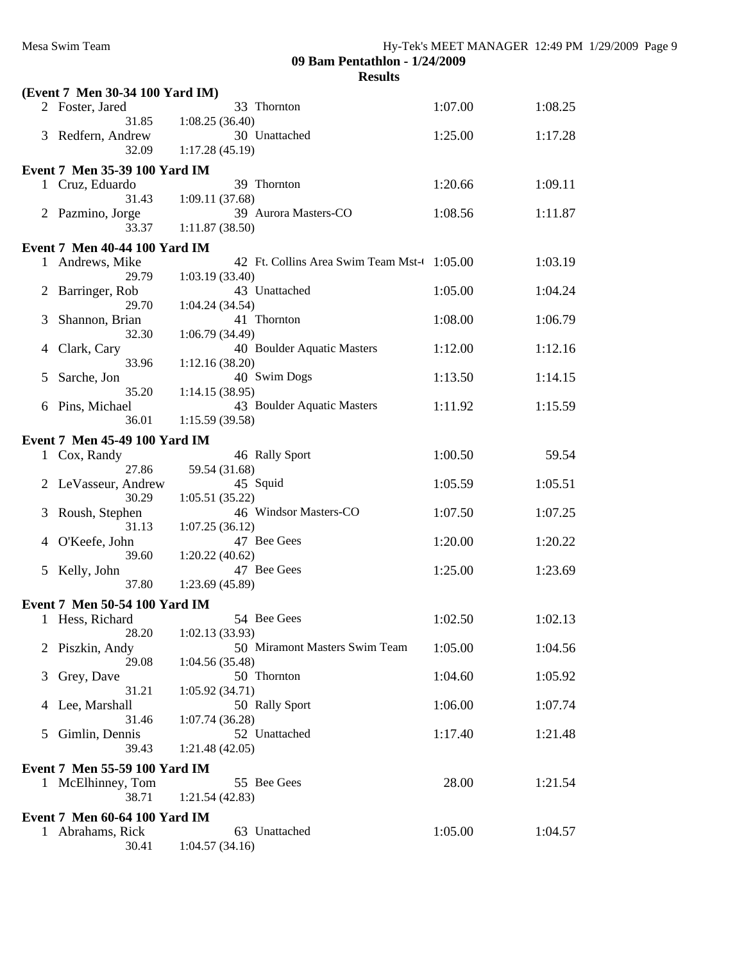**09 Bam Pentathlon - 1/24/2009**

**Results**

|                | (Event 7 Men 30-34 100 Yard IM)                  |                                             |         |         |
|----------------|--------------------------------------------------|---------------------------------------------|---------|---------|
|                | 2 Foster, Jared                                  | 33 Thornton                                 | 1:07.00 | 1:08.25 |
|                | 31.85                                            | 1:08.25(36.40)                              |         |         |
|                | 3 Redfern, Andrew<br>32.09                       | 30 Unattached<br>1:17.28(45.19)             | 1:25.00 | 1:17.28 |
|                |                                                  |                                             |         |         |
|                | Event 7 Men 35-39 100 Yard IM                    |                                             |         |         |
|                | 1 Cruz, Eduardo<br>31.43                         | 39 Thornton<br>1:09.11(37.68)               | 1:20.66 | 1:09.11 |
|                | 2 Pazmino, Jorge                                 | 39 Aurora Masters-CO                        | 1:08.56 | 1:11.87 |
|                | 33.37                                            | 1:11.87(38.50)                              |         |         |
|                | <b>Event 7 Men 40-44 100 Yard IM</b>             |                                             |         |         |
|                | 1 Andrews, Mike                                  | 42 Ft. Collins Area Swim Team Mst-4 1:05.00 |         | 1:03.19 |
|                | 29.79                                            | 1:03.19(33.40)                              |         |         |
| $\overline{2}$ | Barringer, Rob                                   | 43 Unattached                               | 1:05.00 | 1:04.24 |
|                | 29.70                                            | 1:04.24(34.54)<br>41 Thornton               |         |         |
| 3              | Shannon, Brian<br>32.30                          | 1:06.79 (34.49)                             | 1:08.00 | 1:06.79 |
| 4              | Clark, Cary                                      | 40 Boulder Aquatic Masters                  | 1:12.00 | 1:12.16 |
|                | 33.96                                            | 1:12.16(38.20)                              |         |         |
| 5              | Sarche, Jon                                      | 40 Swim Dogs                                | 1:13.50 | 1:14.15 |
|                | 35.20                                            | 1:14.15(38.95)                              |         |         |
| 6              | Pins, Michael                                    | 43 Boulder Aquatic Masters                  | 1:11.92 | 1:15.59 |
|                | 36.01                                            | 1:15.59(39.58)                              |         |         |
|                | Event 7 Men 45-49 100 Yard IM                    |                                             |         |         |
|                | 1 Cox, Randy<br>27.86                            | 46 Rally Sport<br>59.54 (31.68)             | 1:00.50 | 59.54   |
|                | 2 LeVasseur, Andrew                              | 45 Squid                                    | 1:05.59 | 1:05.51 |
|                | 30.29                                            | 1:05.51(35.22)                              |         |         |
| 3              | Roush, Stephen                                   | 46 Windsor Masters-CO                       | 1:07.50 | 1:07.25 |
|                | 31.13                                            | 1:07.25(36.12)                              |         |         |
|                | 4 O'Keefe, John                                  | 47 Bee Gees                                 | 1:20.00 | 1:20.22 |
|                | 39.60                                            | 1:20.22(40.62)<br>47 Bee Gees               | 1:25.00 | 1:23.69 |
|                | 5 Kelly, John<br>37.80                           | 1:23.69(45.89)                              |         |         |
|                |                                                  |                                             |         |         |
|                | Event 7 Men 50-54 100 Yard IM<br>1 Hess, Richard | 54 Bee Gees                                 | 1:02.50 | 1:02.13 |
|                |                                                  | 28.20 1:02.13 (33.93)                       |         |         |
|                | 2 Piszkin, Andy                                  | 50 Miramont Masters Swim Team               | 1:05.00 | 1:04.56 |
|                | 29.08                                            | 1:04.56(35.48)                              |         |         |
| 3              | Grey, Dave                                       | 50 Thornton                                 | 1:04.60 | 1:05.92 |
|                | 31.21                                            | 1:05.92(34.71)                              |         |         |
| 4              | Lee, Marshall<br>31.46                           | 50 Rally Sport<br>1:07.74(36.28)            | 1:06.00 | 1:07.74 |
| 5              | Gimlin, Dennis                                   | 52 Unattached                               | 1:17.40 | 1:21.48 |
|                | 39.43                                            | 1:21.48(42.05)                              |         |         |
|                | Event 7 Men 55-59 100 Yard IM                    |                                             |         |         |
|                | 1 McElhinney, Tom                                | 55 Bee Gees                                 | 28.00   | 1:21.54 |
|                | 38.71                                            | 1:21.54(42.83)                              |         |         |
|                | <b>Event 7 Men 60-64 100 Yard IM</b>             |                                             |         |         |
|                | 1 Abrahams, Rick                                 | 63 Unattached                               | 1:05.00 | 1:04.57 |
|                | 30.41                                            | 1:04.57(34.16)                              |         |         |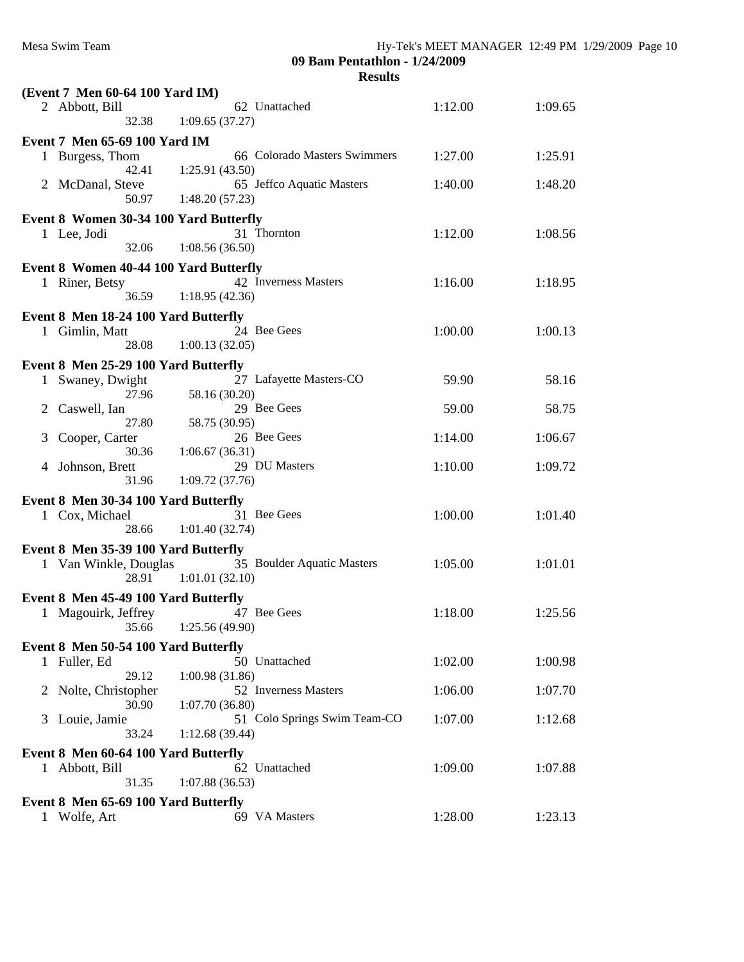| (Event 7 Men 60-64 100 Yard IM)                                        |                                        |         |         |
|------------------------------------------------------------------------|----------------------------------------|---------|---------|
| 2 Abbott, Bill                                                         | 62 Unattached                          | 1:12.00 | 1:09.65 |
| 32.38                                                                  | 1:09.65(37.27)                         |         |         |
| <b>Event 7 Men 65-69 100 Yard IM</b>                                   |                                        |         |         |
| Burgess, Thom<br>$\mathbf{1}$                                          | 66 Colorado Masters Swimmers           | 1:27.00 | 1:25.91 |
| 42.41                                                                  | 1:25.91(43.50)                         |         |         |
| McDanal, Steve<br>2                                                    | 65 Jeffco Aquatic Masters              | 1:40.00 | 1:48.20 |
| 50.97                                                                  | 1:48.20(57.23)                         |         |         |
| Event 8 Women 30-34 100 Yard Butterfly                                 |                                        |         |         |
| 1 Lee, Jodi<br>32.06                                                   | 31 Thornton                            | 1:12.00 | 1:08.56 |
|                                                                        | 1:08.56(36.50)                         |         |         |
| <b>Event 8 Women 40-44 100 Yard Butterfly</b>                          |                                        |         |         |
| 1 Riner, Betsy<br>36.59                                                | 42 Inverness Masters<br>1:18.95(42.36) | 1:16.00 | 1:18.95 |
|                                                                        |                                        |         |         |
| Event 8 Men 18-24 100 Yard Butterfly                                   | 24 Bee Gees                            | 1:00.00 | 1:00.13 |
| Gimlin, Matt<br>1<br>28.08                                             | 1:00.13(32.05)                         |         |         |
|                                                                        |                                        |         |         |
| Event 8 Men 25-29 100 Yard Butterfly<br>Swaney, Dwight<br>$\mathbf{1}$ | 27 Lafayette Masters-CO                | 59.90   | 58.16   |
| 27.96                                                                  | 58.16 (30.20)                          |         |         |
| Caswell, Ian<br>2                                                      | 29 Bee Gees                            | 59.00   | 58.75   |
| 27.80                                                                  | 58.75 (30.95)                          |         |         |
| 3<br>Cooper, Carter                                                    | 26 Bee Gees                            | 1:14.00 | 1:06.67 |
| 30.36                                                                  | 1:06.67(36.31)                         |         |         |
| Johnson, Brett<br>4<br>31.96                                           | 29 DU Masters<br>1:09.72(37.76)        | 1:10.00 | 1:09.72 |
|                                                                        |                                        |         |         |
| Event 8 Men 30-34 100 Yard Butterfly                                   | 31 Bee Gees                            |         | 1:01.40 |
| 1 Cox, Michael<br>28.66                                                | 1:01.40(32.74)                         | 1:00.00 |         |
|                                                                        |                                        |         |         |
| Event 8 Men 35-39 100 Yard Butterfly<br>1 Van Winkle, Douglas          | 35 Boulder Aquatic Masters             | 1:05.00 | 1:01.01 |
| 28.91                                                                  | 1:01.01(32.10)                         |         |         |
| Event 8 Men 45-49 100 Yard Butterfly                                   |                                        |         |         |
| 1 Magouirk, Jeffrey                                                    | 47 Bee Gees                            | 1:18.00 | 1:25.56 |
|                                                                        | 35.66 1:25.56 (49.90)                  |         |         |
| Event 8 Men 50-54 100 Yard Butterfly                                   |                                        |         |         |
| 1 Fuller, Ed                                                           | 50 Unattached                          | 1:02.00 | 1:00.98 |
| 29.12                                                                  | 1:00.98(31.86)                         |         |         |
| Nolte, Christopher<br>2                                                | 52 Inverness Masters                   | 1:06.00 | 1:07.70 |
| 30.90                                                                  | 1:07.70(36.80)                         |         |         |
| Louie, Jamie<br>3                                                      | 51 Colo Springs Swim Team-CO           | 1:07.00 | 1:12.68 |
| 33.24                                                                  | 1:12.68(39.44)                         |         |         |
| Event 8 Men 60-64 100 Yard Butterfly                                   |                                        |         |         |
| 1 Abbott, Bill                                                         | 62 Unattached                          | 1:09.00 | 1:07.88 |
| 31.35                                                                  | 1:07.88(36.53)                         |         |         |
| Event 8 Men 65-69 100 Yard Butterfly                                   |                                        |         |         |
| Wolfe, Art<br>1                                                        | 69 VA Masters                          | 1:28.00 | 1:23.13 |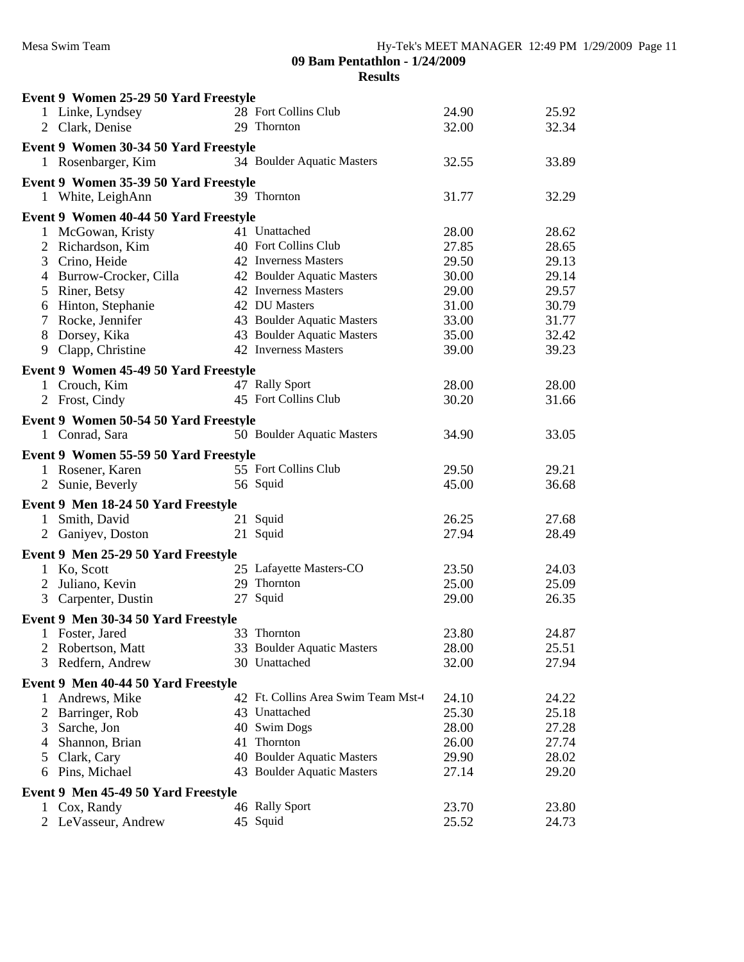|              | Event 9 Women 25-29 50 Yard Freestyle |                                    |       |       |
|--------------|---------------------------------------|------------------------------------|-------|-------|
|              | 1 Linke, Lyndsey                      | 28 Fort Collins Club               | 24.90 | 25.92 |
|              | 2 Clark, Denise                       | 29 Thornton                        | 32.00 | 32.34 |
|              | Event 9 Women 30-34 50 Yard Freestyle |                                    |       |       |
|              | 1 Rosenbarger, Kim                    | 34 Boulder Aquatic Masters         | 32.55 | 33.89 |
|              |                                       |                                    |       |       |
|              | Event 9 Women 35-39 50 Yard Freestyle |                                    |       |       |
|              | 1 White, LeighAnn                     | 39 Thornton                        | 31.77 | 32.29 |
|              | Event 9 Women 40-44 50 Yard Freestyle |                                    |       |       |
|              | 1 McGowan, Kristy                     | 41 Unattached                      | 28.00 | 28.62 |
| 2            | Richardson, Kim                       | 40 Fort Collins Club               | 27.85 | 28.65 |
| 3            | Crino, Heide                          | 42 Inverness Masters               | 29.50 | 29.13 |
|              | 4 Burrow-Crocker, Cilla               | 42 Boulder Aquatic Masters         | 30.00 | 29.14 |
| 5            | Riner, Betsy                          | 42 Inverness Masters               | 29.00 | 29.57 |
|              | 6 Hinton, Stephanie                   | 42 DU Masters                      | 31.00 | 30.79 |
| $\tau$       | Rocke, Jennifer                       | 43 Boulder Aquatic Masters         | 33.00 | 31.77 |
|              | 8 Dorsey, Kika                        | 43 Boulder Aquatic Masters         | 35.00 | 32.42 |
|              | 9 Clapp, Christine                    | 42 Inverness Masters               | 39.00 | 39.23 |
|              | Event 9 Women 45-49 50 Yard Freestyle |                                    |       |       |
|              | 1 Crouch, Kim                         | 47 Rally Sport                     | 28.00 | 28.00 |
|              | 2 Frost, Cindy                        | 45 Fort Collins Club               | 30.20 | 31.66 |
|              |                                       |                                    |       |       |
|              | Event 9 Women 50-54 50 Yard Freestyle |                                    |       |       |
|              | 1 Conrad, Sara                        | 50 Boulder Aquatic Masters         | 34.90 | 33.05 |
|              | Event 9 Women 55-59 50 Yard Freestyle |                                    |       |       |
|              | 1 Rosener, Karen                      | 55 Fort Collins Club               | 29.50 | 29.21 |
|              | 2 Sunie, Beverly                      | 56 Squid                           | 45.00 | 36.68 |
|              | Event 9 Men 18-24 50 Yard Freestyle   |                                    |       |       |
| $\mathbf{1}$ | Smith, David                          | 21 Squid                           | 26.25 | 27.68 |
|              | 2 Ganiyev, Doston                     | 21 Squid                           | 27.94 | 28.49 |
|              |                                       |                                    |       |       |
|              | Event 9 Men 25-29 50 Yard Freestyle   |                                    |       |       |
|              | 1 Ko, Scott                           | 25 Lafayette Masters-CO            | 23.50 | 24.03 |
|              | 2 Juliano, Kevin                      | 29 Thornton                        | 25.00 | 25.09 |
|              | 3 Carpenter, Dustin                   | 27 Squid                           | 29.00 | 26.35 |
|              | Event 9 Men 30-34 50 Yard Freestyle   |                                    |       |       |
|              | Foster, Jared                         | 33 Thornton                        | 23.80 | 24.87 |
|              | 2 Robertson, Matt                     | 33 Boulder Aquatic Masters         | 28.00 | 25.51 |
| 3            | Redfern, Andrew                       | 30 Unattached                      | 32.00 | 27.94 |
|              | Event 9 Men 40-44 50 Yard Freestyle   |                                    |       |       |
| 1            | Andrews, Mike                         | 42 Ft. Collins Area Swim Team Mst- | 24.10 | 24.22 |
| 2            | Barringer, Rob                        | 43 Unattached                      | 25.30 | 25.18 |
| 3            | Sarche, Jon                           | 40 Swim Dogs                       | 28.00 | 27.28 |
| 4            | Shannon, Brian                        | 41 Thornton                        | 26.00 | 27.74 |
| 5            | Clark, Cary                           | 40 Boulder Aquatic Masters         | 29.90 | 28.02 |
|              | Pins, Michael                         | 43 Boulder Aquatic Masters         | 27.14 | 29.20 |
| 6            |                                       |                                    |       |       |
|              | Event 9 Men 45-49 50 Yard Freestyle   |                                    |       |       |
| 1            | Cox, Randy                            | 46 Rally Sport                     | 23.70 | 23.80 |
|              | 2 LeVasseur, Andrew                   | 45 Squid                           | 25.52 | 24.73 |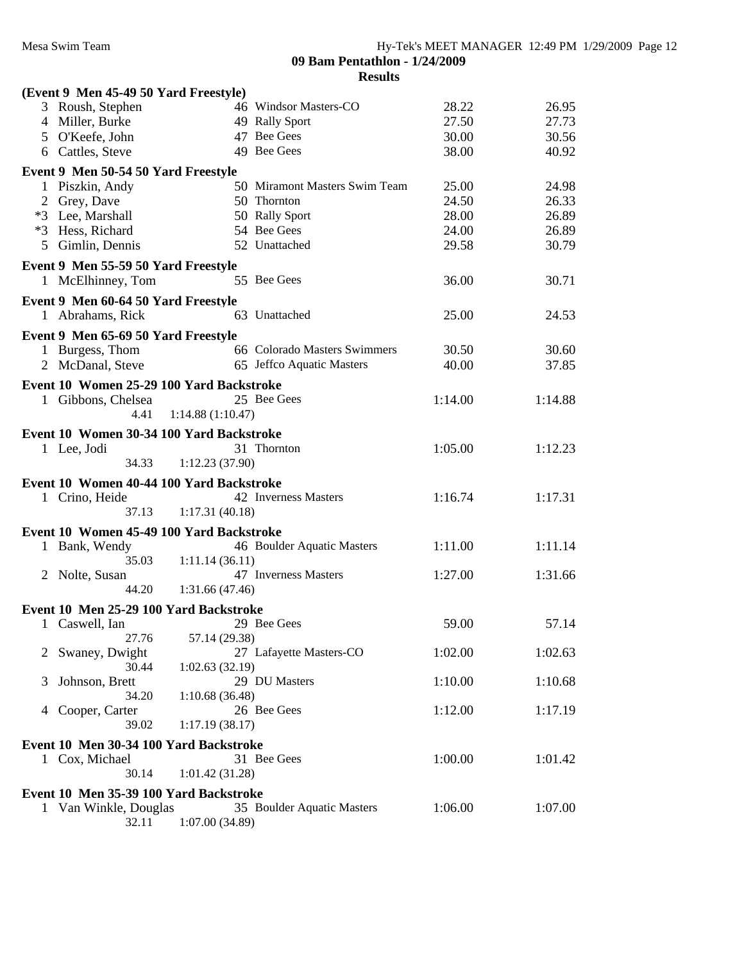|              | (Event 9 Men 45-49 50 Yard Freestyle)                           |                  |                               |         |         |  |
|--------------|-----------------------------------------------------------------|------------------|-------------------------------|---------|---------|--|
|              | 3 Roush, Stephen                                                |                  | 46 Windsor Masters-CO         | 28.22   | 26.95   |  |
|              | 4 Miller, Burke                                                 |                  | 49 Rally Sport                | 27.50   | 27.73   |  |
|              | 5 O'Keefe, John                                                 |                  | 47 Bee Gees                   | 30.00   | 30.56   |  |
|              | 6 Cattles, Steve                                                |                  | 49 Bee Gees                   | 38.00   | 40.92   |  |
|              | Event 9 Men 50-54 50 Yard Freestyle                             |                  |                               |         |         |  |
|              | 1 Piszkin, Andy                                                 |                  | 50 Miramont Masters Swim Team | 25.00   | 24.98   |  |
|              | 2 Grey, Dave                                                    |                  | 50 Thornton                   | 24.50   | 26.33   |  |
|              | *3 Lee, Marshall                                                |                  | 50 Rally Sport                | 28.00   | 26.89   |  |
|              | *3 Hess, Richard                                                |                  | 54 Bee Gees                   | 24.00   | 26.89   |  |
|              | 5 Gimlin, Dennis                                                |                  | 52 Unattached                 | 29.58   | 30.79   |  |
|              |                                                                 |                  |                               |         |         |  |
|              | Event 9 Men 55-59 50 Yard Freestyle                             |                  |                               |         |         |  |
|              | 1 McElhinney, Tom                                               |                  | 55 Bee Gees                   | 36.00   | 30.71   |  |
|              | Event 9 Men 60-64 50 Yard Freestyle                             |                  |                               |         |         |  |
|              | 1 Abrahams, Rick                                                |                  | 63 Unattached                 | 25.00   | 24.53   |  |
|              | Event 9 Men 65-69 50 Yard Freestyle                             |                  |                               |         |         |  |
|              | 1 Burgess, Thom                                                 |                  | 66 Colorado Masters Swimmers  | 30.50   | 30.60   |  |
|              | 2 McDanal, Steve                                                |                  | 65 Jeffco Aquatic Masters     | 40.00   | 37.85   |  |
|              |                                                                 |                  |                               |         |         |  |
|              | Event 10 Women 25-29 100 Yard Backstroke                        |                  |                               |         |         |  |
|              | 1 Gibbons, Chelsea                                              |                  | 25 Bee Gees                   | 1:14.00 | 1:14.88 |  |
|              | 4.41                                                            | 1:14.88(1:10.47) |                               |         |         |  |
|              | Event 10 Women 30-34 100 Yard Backstroke                        |                  |                               |         |         |  |
|              | 1 Lee, Jodi                                                     |                  | 31 Thornton                   | 1:05.00 | 1:12.23 |  |
|              | 34.33                                                           | 1:12.23(37.90)   |                               |         |         |  |
|              |                                                                 |                  |                               |         |         |  |
|              | Event 10 Women 40-44 100 Yard Backstroke                        |                  |                               |         |         |  |
|              | 1 Crino, Heide                                                  |                  | 42 Inverness Masters          | 1:16.74 | 1:17.31 |  |
|              |                                                                 |                  |                               |         |         |  |
|              | 37.13                                                           | 1:17.31(40.18)   |                               |         |         |  |
|              | Event 10 Women 45-49 100 Yard Backstroke                        |                  |                               |         |         |  |
|              |                                                                 |                  | 46 Boulder Aquatic Masters    | 1:11.00 | 1:11.14 |  |
|              | Bank, Wendy<br>35.03                                            | 1:11.14(36.11)   |                               |         |         |  |
| $\mathbf{2}$ |                                                                 |                  | 47 Inverness Masters          | 1:27.00 | 1:31.66 |  |
|              | Nolte, Susan<br>44.20                                           | 1:31.66(47.46)   |                               |         |         |  |
|              |                                                                 |                  |                               |         |         |  |
|              | Event 10 Men 25-29 100 Yard Backstroke                          |                  |                               |         |         |  |
|              | 1 Caswell, Ian                                                  |                  | 29 Bee Gees                   | 59.00   | 57.14   |  |
|              | 27.76                                                           | 57.14 (29.38)    |                               |         |         |  |
| 2            | Swaney, Dwight                                                  |                  | 27 Lafayette Masters-CO       | 1:02.00 | 1:02.63 |  |
|              | 30.44                                                           | 1:02.63(32.19)   |                               |         |         |  |
| 3            | Johnson, Brett                                                  |                  | 29 DU Masters                 | 1:10.00 | 1:10.68 |  |
|              | 34.20                                                           | 1:10.68(36.48)   |                               |         |         |  |
| 4            | Cooper, Carter                                                  |                  | 26 Bee Gees                   | 1:12.00 | 1:17.19 |  |
|              | 39.02                                                           | 1:17.19(38.17)   |                               |         |         |  |
|              | Event 10 Men 30-34 100 Yard Backstroke                          |                  |                               |         |         |  |
|              | 1 Cox, Michael                                                  |                  | 31 Bee Gees                   | 1:00.00 | 1:01.42 |  |
|              | 30.14                                                           | 1:01.42(31.28)   |                               |         |         |  |
|              |                                                                 |                  |                               |         |         |  |
|              | Event 10 Men 35-39 100 Yard Backstroke<br>1 Van Winkle, Douglas |                  | 35 Boulder Aquatic Masters    | 1:06.00 | 1:07.00 |  |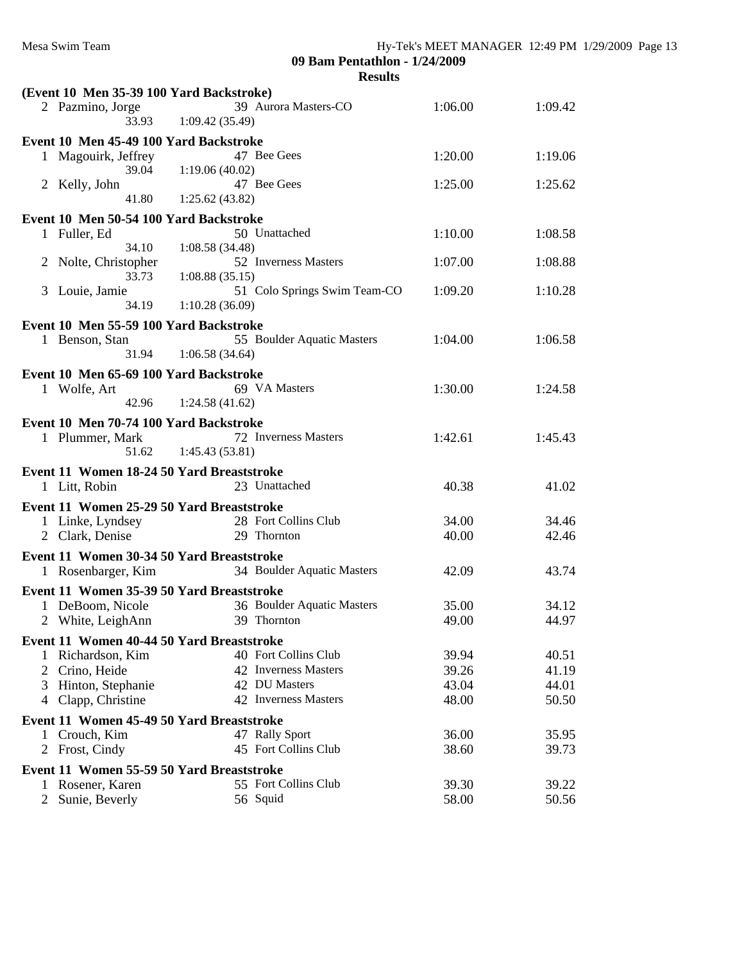**09 Bam Pentathlon - 1/24/2009**

| (Event 10 Men 35-39 100 Yard Backstroke)                        |                                                          |                |                |  |  |  |  |  |  |
|-----------------------------------------------------------------|----------------------------------------------------------|----------------|----------------|--|--|--|--|--|--|
| 2 Pazmino, Jorge<br>33.93                                       | 39 Aurora Masters-CO<br>1:09.42(35.49)                   | 1:06.00        | 1:09.42        |  |  |  |  |  |  |
| Event 10 Men 45-49 100 Yard Backstroke                          |                                                          |                |                |  |  |  |  |  |  |
| 1 Magouirk, Jeffrey<br>39.04                                    | 47 Bee Gees<br>1:19.06(40.02)                            | 1:20.00        | 1:19.06        |  |  |  |  |  |  |
| 2 Kelly, John<br>41.80                                          | 47 Bee Gees<br>1:25.62(43.82)                            | 1:25.00        | 1:25.62        |  |  |  |  |  |  |
|                                                                 |                                                          |                |                |  |  |  |  |  |  |
| Event 10 Men 50-54 100 Yard Backstroke<br>1 Fuller, Ed          | 50 Unattached                                            | 1:10.00        | 1:08.58        |  |  |  |  |  |  |
| 34.10<br>2 Nolte, Christopher<br>33.73                          | 1:08.58(34.48)<br>52 Inverness Masters<br>1:08.88(35.15) | 1:07.00        | 1:08.88        |  |  |  |  |  |  |
| 3 Louie, Jamie<br>34.19                                         | 51 Colo Springs Swim Team-CO<br>1:10.28(36.09)           | 1:09.20        | 1:10.28        |  |  |  |  |  |  |
| Event 10 Men 55-59 100 Yard Backstroke                          |                                                          |                |                |  |  |  |  |  |  |
| 1 Benson, Stan<br>31.94                                         | 55 Boulder Aquatic Masters<br>1:06.58(34.64)             | 1:04.00        | 1:06.58        |  |  |  |  |  |  |
|                                                                 |                                                          |                |                |  |  |  |  |  |  |
| Event 10 Men 65-69 100 Yard Backstroke<br>1 Wolfe, Art<br>42.96 | 69 VA Masters<br>1:24.58(41.62)                          | 1:30.00        | 1:24.58        |  |  |  |  |  |  |
|                                                                 |                                                          |                |                |  |  |  |  |  |  |
| Event 10 Men 70-74 100 Yard Backstroke                          |                                                          |                |                |  |  |  |  |  |  |
| 1 Plummer, Mark<br>51.62                                        | 72 Inverness Masters<br>1:45.43(53.81)                   | 1:42.61        | 1:45.43        |  |  |  |  |  |  |
| Event 11 Women 18-24 50 Yard Breaststroke                       |                                                          |                |                |  |  |  |  |  |  |
| 1 Litt, Robin                                                   | 23 Unattached                                            | 40.38          | 41.02          |  |  |  |  |  |  |
| Event 11 Women 25-29 50 Yard Breaststroke                       |                                                          |                |                |  |  |  |  |  |  |
| 1 Linke, Lyndsey                                                | 28 Fort Collins Club                                     | 34.00          | 34.46          |  |  |  |  |  |  |
| 2 Clark, Denise                                                 | 29 Thornton                                              | 40.00          | 42.46          |  |  |  |  |  |  |
| Event 11 Women 30-34 50 Yard Breaststroke                       |                                                          |                |                |  |  |  |  |  |  |
| 1 Rosenbarger, Kim                                              | 34 Boulder Aquatic Masters                               | 42.09          | 43.74          |  |  |  |  |  |  |
|                                                                 |                                                          |                |                |  |  |  |  |  |  |
| Event 11 Women 35-39 50 Yard Breaststroke                       |                                                          |                |                |  |  |  |  |  |  |
| 1 DeBoom, Nicole<br>2 White, LeighAnn                           | 36 Boulder Aquatic Masters<br>39 Thornton                | 35.00<br>49.00 | 34.12<br>44.97 |  |  |  |  |  |  |
|                                                                 |                                                          |                |                |  |  |  |  |  |  |
| Event 11 Women 40-44 50 Yard Breaststroke                       |                                                          |                |                |  |  |  |  |  |  |
| Richardson, Kim                                                 | 40 Fort Collins Club                                     | 39.94          | 40.51          |  |  |  |  |  |  |
| Crino, Heide<br>2                                               | 42 Inverness Masters                                     | 39.26          | 41.19          |  |  |  |  |  |  |
| Hinton, Stephanie<br>3                                          | 42 DU Masters                                            | 43.04          | 44.01          |  |  |  |  |  |  |
| 4 Clapp, Christine                                              | 42 Inverness Masters                                     | 48.00          | 50.50          |  |  |  |  |  |  |
| Event 11 Women 45-49 50 Yard Breaststroke                       |                                                          |                |                |  |  |  |  |  |  |
| 1 Crouch, Kim                                                   | 47 Rally Sport                                           | 36.00          | 35.95          |  |  |  |  |  |  |
| 2 Frost, Cindy                                                  | 45 Fort Collins Club                                     | 38.60          | 39.73          |  |  |  |  |  |  |
| Event 11 Women 55-59 50 Yard Breaststroke                       |                                                          |                |                |  |  |  |  |  |  |
| 1 Rosener, Karen                                                | 55 Fort Collins Club                                     | 39.30          | 39.22          |  |  |  |  |  |  |
| 2 Sunie, Beverly                                                | 56 Squid                                                 | 58.00          | 50.56          |  |  |  |  |  |  |